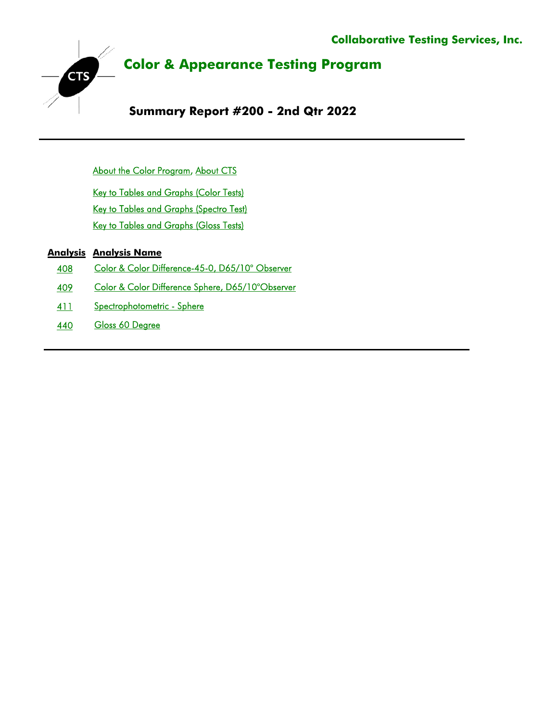

About the Color Program, About CTS

Key to Tables and Graphs (Color Tests) Key to Tables and Graphs (Spectro Test) Key to Tables and Graphs (Gloss Tests)

## **Analysis Analysis Name**

- 408 [Color & Color Difference-45-0, D65/10° Observer](#page-5-0)
- 409 [Color & Color Difference Sphere, D65/10°Observer](#page-12-0)
- 411 [Spectrophotometric Sphere](#page-23-0)
- 440 [Gloss 60 Degree](#page-28-0)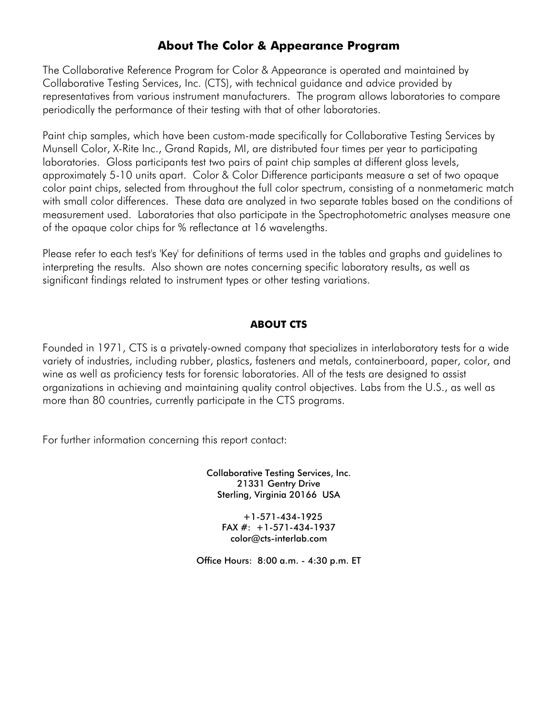# **About The Color & Appearance Program**

<span id="page-1-0"></span>The Collaborative Reference Program for Color & Appearance is operated and maintained by Collaborative Testing Services, Inc. (CTS), with technical guidance and advice provided by representatives from various instrument manufacturers. The program allows laboratories to compare periodically the performance of their testing with that of other laboratories.

Paint chip samples, which have been custom-made specifically for Collaborative Testing Services by Munsell Color, X-Rite Inc., Grand Rapids, MI, are distributed four times per year to participating laboratories. Gloss participants test two pairs of paint chip samples at different gloss levels, approximately 5-10 units apart. Color & Color Difference participants measure a set of two opaque color paint chips, selected from throughout the full color spectrum, consisting of a nonmetameric match with small color differences. These data are analyzed in two separate tables based on the conditions of measurement used. Laboratories that also participate in the Spectrophotometric analyses measure one of the opaque color chips for % reflectance at 16 wavelengths.

Please refer to each test's 'Key' for definitions of terms used in the tables and graphs and guidelines to interpreting the results. Also shown are notes concerning specific laboratory results, as well as significant findings related to instrument types or other testing variations.

## **ABOUT CTS**

Founded in 1971, CTS is a privately-owned company that specializes in interlaboratory tests for a wide variety of industries, including rubber, plastics, fasteners and metals, containerboard, paper, color, and wine as well as proficiency tests for forensic laboratories. All of the tests are designed to assist organizations in achieving and maintaining quality control objectives. Labs from the U.S., as well as more than 80 countries, currently participate in the CTS programs.

For further information concerning this report contact:

Collaborative Testing Services, Inc. 21331 Gentry Drive Sterling, Virginia 20166 USA

> +1-571-434-1925 FAX  $#: +1-571-434-1937$ color@cts-interlab.com

Office Hours: 8:00 a.m. - 4:30 p.m. ET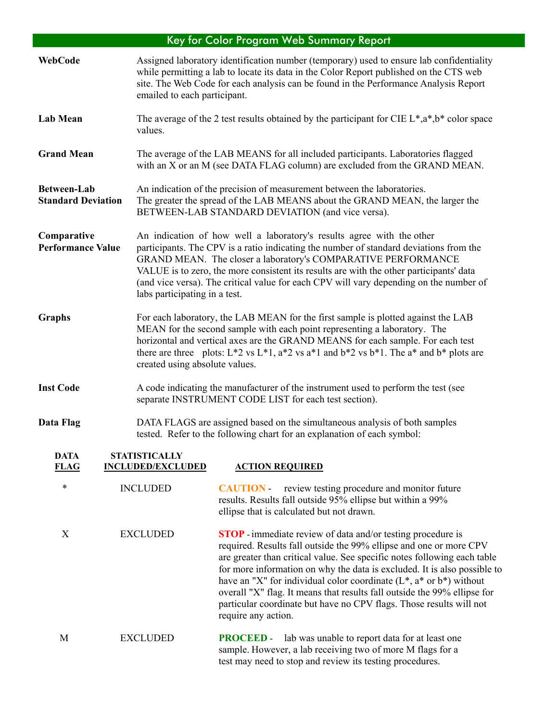# Key for Color Program Web Summary Report

<span id="page-2-0"></span>

| <b>WebCode</b>                                  | emailed to each participant.                     | Assigned laboratory identification number (temporary) used to ensure lab confidentiality<br>while permitting a lab to locate its data in the Color Report published on the CTS web<br>site. The Web Code for each analysis can be found in the Performance Analysis Report                                                                                                                                                                                                                                                                              |
|-------------------------------------------------|--------------------------------------------------|---------------------------------------------------------------------------------------------------------------------------------------------------------------------------------------------------------------------------------------------------------------------------------------------------------------------------------------------------------------------------------------------------------------------------------------------------------------------------------------------------------------------------------------------------------|
| <b>Lab Mean</b>                                 | values.                                          | The average of the 2 test results obtained by the participant for CIE $L^*, a^*, b^*$ color space                                                                                                                                                                                                                                                                                                                                                                                                                                                       |
| <b>Grand Mean</b>                               |                                                  | The average of the LAB MEANS for all included participants. Laboratories flagged<br>with an X or an M (see DATA FLAG column) are excluded from the GRAND MEAN.                                                                                                                                                                                                                                                                                                                                                                                          |
| <b>Between-Lab</b><br><b>Standard Deviation</b> |                                                  | An indication of the precision of measurement between the laboratories.<br>The greater the spread of the LAB MEANS about the GRAND MEAN, the larger the<br>BETWEEN-LAB STANDARD DEVIATION (and vice versa).                                                                                                                                                                                                                                                                                                                                             |
| Comparative<br><b>Performance Value</b>         | labs participating in a test.                    | An indication of how well a laboratory's results agree with the other<br>participants. The CPV is a ratio indicating the number of standard deviations from the<br>GRAND MEAN. The closer a laboratory's COMPARATIVE PERFORMANCE<br>VALUE is to zero, the more consistent its results are with the other participants' data<br>(and vice versa). The critical value for each CPV will vary depending on the number of                                                                                                                                   |
| <b>Graphs</b>                                   | created using absolute values.                   | For each laboratory, the LAB MEAN for the first sample is plotted against the LAB<br>MEAN for the second sample with each point representing a laboratory. The<br>horizontal and vertical axes are the GRAND MEANS for each sample. For each test<br>there are three plots: $L^*2$ vs $L^*1$ , $a^*2$ vs $a^*1$ and $b^*2$ vs $b^*1$ . The $a^*$ and $b^*$ plots are                                                                                                                                                                                    |
| <b>Inst Code</b>                                |                                                  | A code indicating the manufacturer of the instrument used to perform the test (see<br>separate INSTRUMENT CODE LIST for each test section).                                                                                                                                                                                                                                                                                                                                                                                                             |
| Data Flag                                       |                                                  | DATA FLAGS are assigned based on the simultaneous analysis of both samples<br>tested. Refer to the following chart for an explanation of each symbol:                                                                                                                                                                                                                                                                                                                                                                                                   |
| <b>DATA</b><br><b>FLAG</b>                      | <b>STATISTICALLY</b><br><b>INCLUDED/EXCLUDED</b> | <b>ACTION REQUIRED</b>                                                                                                                                                                                                                                                                                                                                                                                                                                                                                                                                  |
| $\ast$                                          | <b>INCLUDED</b>                                  | review testing procedure and monitor future<br><b>CAUTION</b><br>results. Results fall outside 95% ellipse but within a 99%<br>ellipse that is calculated but not drawn.                                                                                                                                                                                                                                                                                                                                                                                |
| X                                               | <b>EXCLUDED</b>                                  | <b>STOP</b> - immediate review of data and/or testing procedure is<br>required. Results fall outside the 99% ellipse and one or more CPV<br>are greater than critical value. See specific notes following each table<br>for more information on why the data is excluded. It is also possible to<br>have an "X" for individual color coordinate $(L^*, a^*$ or $b^*)$ without<br>overall "X" flag. It means that results fall outside the 99% ellipse for<br>particular coordinate but have no CPV flags. Those results will not<br>require any action. |
| M                                               | <b>EXCLUDED</b>                                  | lab was unable to report data for at least one<br><b>PROCEED-</b><br>sample. However, a lab receiving two of more M flags for a<br>test may need to stop and review its testing procedures.                                                                                                                                                                                                                                                                                                                                                             |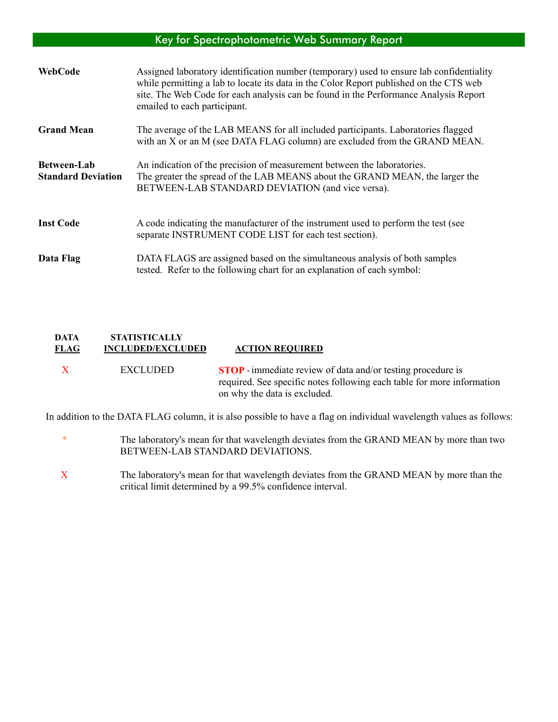## Key for Spectrophotometric Web Summary Report

<span id="page-3-0"></span>

| WebCode                                         | Assigned laboratory identification number (temporary) used to ensure lab confidentiality<br>while permitting a lab to locate its data in the Color Report published on the CTS web<br>site. The Web Code for each analysis can be found in the Performance Analysis Report<br>emailed to each participant. |
|-------------------------------------------------|------------------------------------------------------------------------------------------------------------------------------------------------------------------------------------------------------------------------------------------------------------------------------------------------------------|
| <b>Grand Mean</b>                               | The average of the LAB MEANS for all included participants. Laboratories flagged<br>with an X or an M (see DATA FLAG column) are excluded from the GRAND MEAN.                                                                                                                                             |
| <b>Between-Lab</b><br><b>Standard Deviation</b> | An indication of the precision of measurement between the laboratories.<br>The greater the spread of the LAB MEANS about the GRAND MEAN, the larger the<br>BETWEEN-LAB STANDARD DEVIATION (and vice versa).                                                                                                |
| <b>Inst Code</b>                                | A code indicating the manufacturer of the instrument used to perform the test (see<br>separate INSTRUMENT CODE LIST for each test section).                                                                                                                                                                |
| Data Flag                                       | DATA FLAGS are assigned based on the simultaneous analysis of both samples<br>tested. Refer to the following chart for an explanation of each symbol:                                                                                                                                                      |

### **DATA STATISTICALLY FLAG INCLUDED/EXCLUDED ACTION REQUIRED**

 X EXCLUDED **STOP** -immediate review of data and/or testing procedure is required. See specific notes following each table for more information on why the data is excluded.

In addition to the DATA FLAG column, it is also possible to have a flag on individual wavelength values as follows:

- \* The laboratory's mean for that wavelength deviates from the GRAND MEAN by more than two BETWEEN-LAB STANDARD DEVIATIONS.
- X The laboratory's mean for that wavelength deviates from the GRAND MEAN by more than the critical limit determined by a 99.5% confidence interval.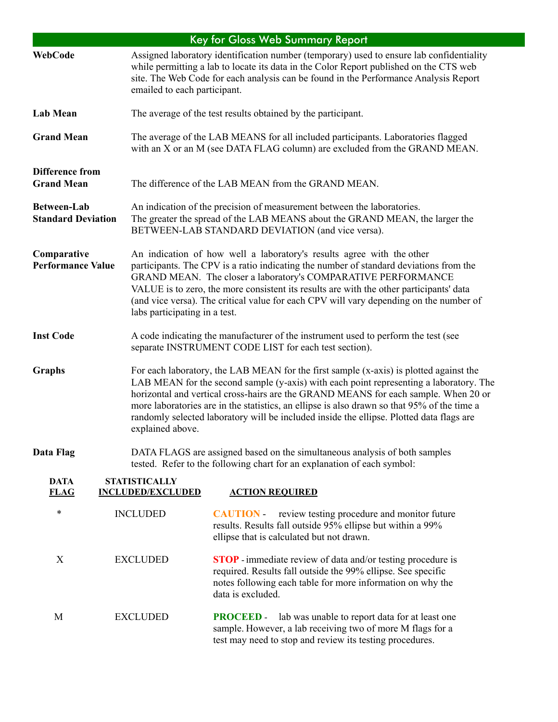<span id="page-4-0"></span>

|                                                 |  |                                                                                                                                                                                                             | <b>Key for Gloss Web Summary Report</b>                                                                                                                                                                                                                                                                                                                                                                                                                            |  |  |  |  |  |  |
|-------------------------------------------------|--|-------------------------------------------------------------------------------------------------------------------------------------------------------------------------------------------------------------|--------------------------------------------------------------------------------------------------------------------------------------------------------------------------------------------------------------------------------------------------------------------------------------------------------------------------------------------------------------------------------------------------------------------------------------------------------------------|--|--|--|--|--|--|
| <b>WebCode</b>                                  |  | emailed to each participant.                                                                                                                                                                                | Assigned laboratory identification number (temporary) used to ensure lab confidentiality<br>while permitting a lab to locate its data in the Color Report published on the CTS web<br>site. The Web Code for each analysis can be found in the Performance Analysis Report                                                                                                                                                                                         |  |  |  |  |  |  |
| <b>Lab Mean</b>                                 |  |                                                                                                                                                                                                             | The average of the test results obtained by the participant.                                                                                                                                                                                                                                                                                                                                                                                                       |  |  |  |  |  |  |
| <b>Grand Mean</b>                               |  | The average of the LAB MEANS for all included participants. Laboratories flagged<br>with an X or an M (see DATA FLAG column) are excluded from the GRAND MEAN.                                              |                                                                                                                                                                                                                                                                                                                                                                                                                                                                    |  |  |  |  |  |  |
| <b>Difference from</b><br><b>Grand Mean</b>     |  |                                                                                                                                                                                                             | The difference of the LAB MEAN from the GRAND MEAN.                                                                                                                                                                                                                                                                                                                                                                                                                |  |  |  |  |  |  |
| <b>Between-Lab</b><br><b>Standard Deviation</b> |  | An indication of the precision of measurement between the laboratories.<br>The greater the spread of the LAB MEANS about the GRAND MEAN, the larger the<br>BETWEEN-LAB STANDARD DEVIATION (and vice versa). |                                                                                                                                                                                                                                                                                                                                                                                                                                                                    |  |  |  |  |  |  |
| Comparative<br><b>Performance Value</b>         |  | labs participating in a test.                                                                                                                                                                               | An indication of how well a laboratory's results agree with the other<br>participants. The CPV is a ratio indicating the number of standard deviations from the<br>GRAND MEAN. The closer a laboratory's COMPARATIVE PERFORMANCE<br>VALUE is to zero, the more consistent its results are with the other participants' data<br>(and vice versa). The critical value for each CPV will vary depending on the number of                                              |  |  |  |  |  |  |
| <b>Inst Code</b>                                |  |                                                                                                                                                                                                             | A code indicating the manufacturer of the instrument used to perform the test (see<br>separate INSTRUMENT CODE LIST for each test section).                                                                                                                                                                                                                                                                                                                        |  |  |  |  |  |  |
| <b>Graphs</b>                                   |  | explained above.                                                                                                                                                                                            | For each laboratory, the LAB MEAN for the first sample (x-axis) is plotted against the<br>LAB MEAN for the second sample (y-axis) with each point representing a laboratory. The<br>horizontal and vertical cross-hairs are the GRAND MEANS for each sample. When 20 or<br>more laboratories are in the statistics, an ellipse is also drawn so that 95% of the time a<br>randomly selected laboratory will be included inside the ellipse. Plotted data flags are |  |  |  |  |  |  |
| Data Flag                                       |  |                                                                                                                                                                                                             | DATA FLAGS are assigned based on the simultaneous analysis of both samples<br>tested. Refer to the following chart for an explanation of each symbol:                                                                                                                                                                                                                                                                                                              |  |  |  |  |  |  |
| <b>DATA</b><br><b>FLAG</b>                      |  | <b>STATISTICALLY</b><br><b>INCLUDED/EXCLUDED</b>                                                                                                                                                            | <b>ACTION REQUIRED</b>                                                                                                                                                                                                                                                                                                                                                                                                                                             |  |  |  |  |  |  |
| $\ast$                                          |  | <b>INCLUDED</b>                                                                                                                                                                                             | <b>CAUTION</b> review testing procedure and monitor future<br>results. Results fall outside 95% ellipse but within a 99%<br>ellipse that is calculated but not drawn.                                                                                                                                                                                                                                                                                              |  |  |  |  |  |  |
| X                                               |  | <b>EXCLUDED</b>                                                                                                                                                                                             | <b>STOP</b> - immediate review of data and/or testing procedure is<br>required. Results fall outside the 99% ellipse. See specific<br>notes following each table for more information on why the<br>data is excluded.                                                                                                                                                                                                                                              |  |  |  |  |  |  |
| M                                               |  | <b>EXCLUDED</b>                                                                                                                                                                                             | <b>PROCEED</b> - lab was unable to report data for at least one<br>sample. However, a lab receiving two of more M flags for a<br>test may need to stop and review its testing procedures.                                                                                                                                                                                                                                                                          |  |  |  |  |  |  |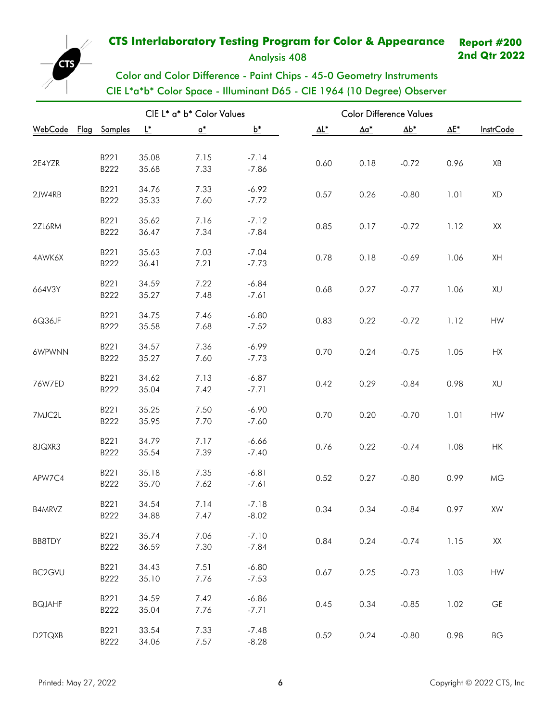Analysis 408

**2nd Qtr 2022**

# Color and Color Difference - Paint Chips - 45-0 Geometry Instruments CIE L\*a\*b\* Color Space - Illuminant D65 - CIE 1964 (10 Degree) Observer

| CIE L* a* b* Color Values |  |              |                |                              |                    | <b>Color Difference Values</b> |              |              |              |                              |  |
|---------------------------|--|--------------|----------------|------------------------------|--------------------|--------------------------------|--------------|--------------|--------------|------------------------------|--|
| WebCode Flag              |  | Samples      | Ľ              | $\underline{\mathfrak{a}}^*$ | $b^*$              | $\underline{\Delta L^*}$       | $\Delta a^*$ | $\Delta b^*$ | $\Delta E^*$ | <b>InstrCode</b>             |  |
|                           |  |              |                |                              |                    |                                |              |              |              |                              |  |
| 2E4YZR                    |  | B221         | 35.08          | 7.15                         | $-7.14$            | 0.60                           | 0.18         | $-0.72$      | 0.96         | XB                           |  |
|                           |  | B222         | 35.68          | 7.33                         | $-7.86$            |                                |              |              |              |                              |  |
| 2JW4RB                    |  | B221         | 34.76          | 7.33                         | $-6.92$            | 0.57                           | 0.26         | $-0.80$      | 1.01         | XD                           |  |
|                           |  | B222         | 35.33          | 7.60                         | $-7.72$            |                                |              |              |              |                              |  |
| 2ZL6RM                    |  | B221         | 35.62          | 7.16                         | $-7.12$            | 0.85                           | 0.17         | $-0.72$      | 1.12         | XX                           |  |
|                           |  | B222         | 36.47          | 7.34                         | $-7.84$            |                                |              |              |              |                              |  |
|                           |  | B221         | 35.63          | 7.03                         | $-7.04$            |                                |              |              |              |                              |  |
| 4AWK6X                    |  | B222         | 36.41          | 7.21                         | $-7.73$            | 0.78                           | 0.18         | $-0.69$      | 1.06         | XH                           |  |
|                           |  | B221         | 34.59          | 7.22                         | $-6.84$            |                                |              |              |              |                              |  |
| 664V3Y                    |  | B222         | 35.27          | 7.48                         | $-7.61$            | 0.68                           | 0.27         | $-0.77$      | 1.06         | XU                           |  |
|                           |  |              |                |                              |                    |                                |              |              |              |                              |  |
| 6Q36JF                    |  | B221<br>B222 | 34.75<br>35.58 | 7.46<br>7.68                 | $-6.80$<br>$-7.52$ | 0.83                           | 0.22         | $-0.72$      | 1.12         | HW                           |  |
|                           |  |              |                |                              |                    |                                |              |              |              |                              |  |
| 6WPWNN                    |  | B221         | 34.57          | 7.36                         | $-6.99$            | 0.70                           | 0.24         | $-0.75$      | 1.05         | <b>HX</b>                    |  |
|                           |  | B222         | 35.27          | 7.60                         | $-7.73$            |                                |              |              |              |                              |  |
| 76W7ED                    |  | B221         | 34.62          | 7.13                         | $-6.87$            | 0.42                           | 0.29         | $-0.84$      | 0.98         | XU                           |  |
|                           |  | B222         | 35.04          | 7.42                         | $-7.71$            |                                |              |              |              |                              |  |
| 7MJC2L                    |  | B221         | 35.25          | 7.50                         | $-6.90$            | 0.70                           | 0.20         | $-0.70$      | 1.01         | HW                           |  |
|                           |  | B222         | 35.95          | 7.70                         | $-7.60$            |                                |              |              |              |                              |  |
|                           |  | B221         | 34.79          | 7.17                         | $-6.66$            |                                |              |              |              |                              |  |
| 8JQXR3                    |  | B222         | 35.54          | 7.39                         | $-7.40$            | 0.76                           | 0.22         | $-0.74$      | 1.08         | HK                           |  |
|                           |  | B221         | 35.18          | 7.35                         | $-6.81$            |                                |              |              |              |                              |  |
| APW7C4                    |  | B222         | 35.70          | 7.62                         | $-7.61$            | 0.52                           | 0.27         | $-0.80$      | 0.99         | MG                           |  |
|                           |  |              |                |                              |                    |                                |              |              |              |                              |  |
| B4MRVZ                    |  | B221<br>B222 | 34.54<br>34.88 | 7.14<br>7.47                 | $-7.18$<br>$-8.02$ | 0.34                           | 0.34         | $-0.84$      | 0.97         | <b>XW</b>                    |  |
|                           |  |              |                |                              |                    |                                |              |              |              |                              |  |
| BB8TDY                    |  | B221<br>B222 | 35.74<br>36.59 | 7.06<br>7.30                 | $-7.10$<br>$-7.84$ | 0.84                           | 0.24         | $-0.74$      | 1.15         | $\mathsf{XX}$                |  |
|                           |  |              |                |                              |                    |                                |              |              |              |                              |  |
| BC2GVU                    |  | B221         | 34.43          | 7.51                         | $-6.80$            | 0.67                           | 0.25         | $-0.73$      | 1.03         | HW                           |  |
|                           |  | B222         | 35.10          | 7.76                         | $-7.53$            |                                |              |              |              |                              |  |
| <b>BQJAHF</b>             |  | B221         | 34.59          | 7.42                         | $-6.86$            | 0.45                           | 0.34         | $-0.85$      | 1.02         | $\mathsf{GE}% _{\mathsf{G}}$ |  |
|                           |  | B222         | 35.04          | 7.76                         | $-7.71$            |                                |              |              |              |                              |  |
|                           |  | B221         | 33.54          | 7.33                         | $-7.48$            |                                |              |              |              |                              |  |
| D2TQXB                    |  | B222         | 34.06          | 7.57                         | $-8.28$            | 0.52                           | 0.24         | $-0.80$      | 0.98         | ВG                           |  |

<span id="page-5-0"></span>**CTS**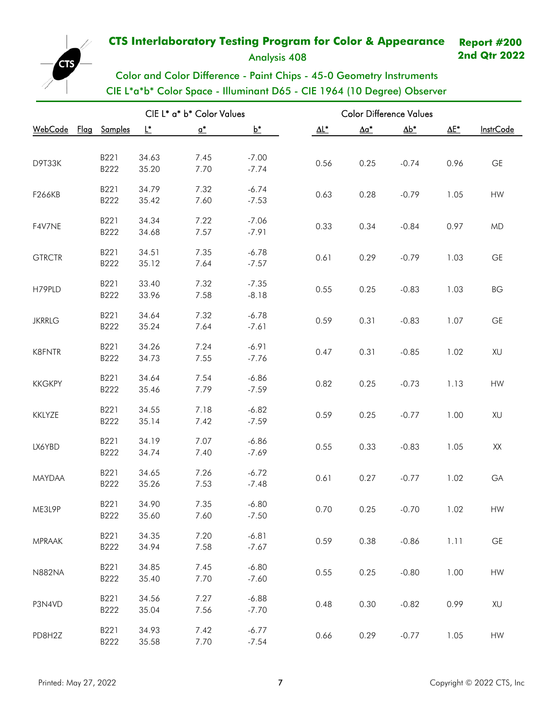Analysis 408

**2nd Qtr 2022**

## **CTS** Color and Color Difference - Paint Chips - 45-0 Geometry Instruments CIE L\*a\*b\* Color Space - Illuminant D65 - CIE 1964 (10 Degree) Observer

|                      |      |       | CIE L* a* b* Color Values |         | <b>Color Difference Values</b> |              |              |      |                  |  |
|----------------------|------|-------|---------------------------|---------|--------------------------------|--------------|--------------|------|------------------|--|
| WebCode Flag Samples |      | L*    | $\mathbf{a}^*$            | $b^*$   | $\Delta L^*$                   | $\Delta a^*$ | $\Delta b^*$ | ΔE*  | <b>InstrCode</b> |  |
|                      |      |       |                           |         |                                |              |              |      |                  |  |
| D9T33K               | B221 | 34.63 | 7.45                      | $-7.00$ | 0.56                           | 0.25         | $-0.74$      | 0.96 | GE               |  |
|                      | B222 | 35.20 | 7.70                      | $-7.74$ |                                |              |              |      |                  |  |
|                      | B221 | 34.79 | 7.32                      | $-6.74$ |                                |              |              |      |                  |  |
| F266KB               | B222 | 35.42 | 7.60                      | $-7.53$ | 0.63                           | 0.28         | $-0.79$      | 1.05 | HW               |  |
|                      | B221 | 34.34 | 7.22                      | $-7.06$ |                                |              |              |      |                  |  |
| F4V7NE               | B222 | 34.68 | 7.57                      | $-7.91$ | 0.33                           | 0.34         | $-0.84$      | 0.97 | <b>MD</b>        |  |
|                      |      |       |                           |         |                                |              |              |      |                  |  |
| <b>GTRCTR</b>        | B221 | 34.51 | 7.35                      | $-6.78$ | 0.61                           | 0.29         | $-0.79$      | 1.03 | <b>GE</b>        |  |
|                      | B222 | 35.12 | 7.64                      | $-7.57$ |                                |              |              |      |                  |  |
|                      | B221 | 33.40 | 7.32                      | $-7.35$ |                                |              |              |      |                  |  |
| H79PLD               | B222 | 33.96 | 7.58                      | $-8.18$ | 0.55                           | 0.25         | $-0.83$      | 1.03 | ВG               |  |
|                      | B221 | 34.64 | 7.32                      | $-6.78$ |                                |              |              |      |                  |  |
| <b>JKRRLG</b>        | B222 | 35.24 | 7.64                      | $-7.61$ | 0.59                           | 0.31         | $-0.83$      | 1.07 | GE               |  |
|                      | B221 | 34.26 | 7.24                      | $-6.91$ |                                |              |              |      |                  |  |
| <b>K8FNTR</b>        | B222 | 34.73 | 7.55                      | $-7.76$ | 0.47                           | 0.31         | $-0.85$      | 1.02 | XU               |  |
|                      |      |       |                           |         |                                |              |              |      |                  |  |
| <b>KKGKPY</b>        | B221 | 34.64 | 7.54                      | $-6.86$ | 0.82                           | 0.25         | $-0.73$      | 1.13 | HW               |  |
|                      | B222 | 35.46 | 7.79                      | $-7.59$ |                                |              |              |      |                  |  |
|                      | B221 | 34.55 | 7.18                      | $-6.82$ |                                |              |              |      |                  |  |
| KKLYZE               | B222 | 35.14 | 7.42                      | $-7.59$ | 0.59                           | 0.25         | $-0.77$      | 1.00 | XU               |  |
|                      | B221 | 34.19 | 7.07                      | $-6.86$ |                                |              |              |      |                  |  |
| LX6YBD               | B222 | 34.74 | 7.40                      | $-7.69$ | 0.55                           | 0.33         | $-0.83$      | 1.05 | XX               |  |
|                      |      |       |                           |         |                                |              |              |      |                  |  |
| MAYDAA               | B221 | 34.65 | 7.26                      | $-6.72$ | 0.61                           | 0.27         | $-0.77$      | 1.02 | GA               |  |
|                      | B222 | 35.26 | 7.53                      | $-7.48$ |                                |              |              |      |                  |  |
| ME3L9P               | B221 | 34.90 | 7.35                      | $-6.80$ | 0.70                           | 0.25         | $-0.70$      | 1.02 | HW               |  |
|                      | B222 | 35.60 | 7.60                      | $-7.50$ |                                |              |              |      |                  |  |
|                      | B221 | 34.35 | 7.20                      | $-6.81$ |                                |              |              |      |                  |  |
| <b>MPRAAK</b>        | B222 | 34.94 | 7.58                      | $-7.67$ | 0.59                           | 0.38         | $-0.86$      | 1.11 | $\mathsf{GE}$    |  |
|                      | B221 | 34.85 | 7.45                      | $-6.80$ |                                |              |              |      |                  |  |
| <b>N882NA</b>        | B222 | 35.40 | 7.70                      | $-7.60$ | 0.55                           | 0.25         | $-0.80$      | 1.00 | ${\sf HW}$       |  |
|                      |      |       |                           |         |                                |              |              |      |                  |  |
| P3N4VD               | B221 | 34.56 | 7.27                      | $-6.88$ | 0.48                           | 0.30         | $-0.82$      | 0.99 | XU               |  |
|                      | B222 | 35.04 | 7.56                      | $-7.70$ |                                |              |              |      |                  |  |
|                      | B221 | 34.93 | 7.42                      | $-6.77$ |                                |              |              |      |                  |  |
| PD8H2Z               | B222 | 35.58 | 7.70                      | $-7.54$ | 0.66                           | 0.29         | $-0.77$      | 1.05 | HW               |  |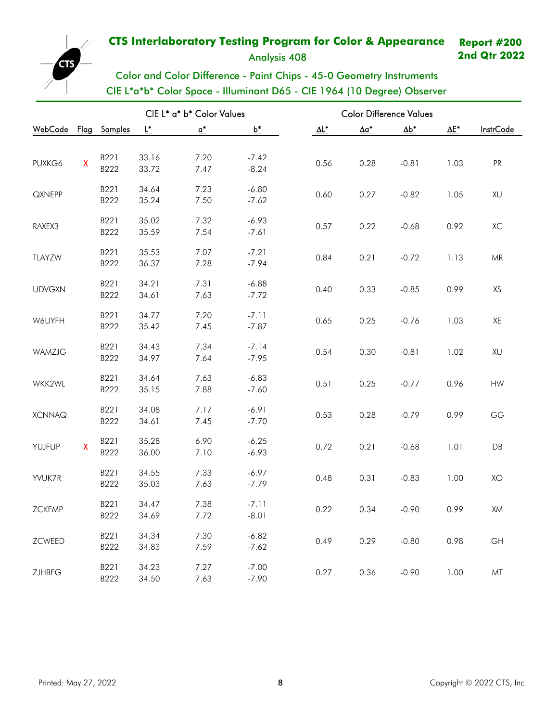Analysis 408

**2nd Qtr 2022**

# Color and Color Difference - Paint Chips - 45-0 Geometry Instruments CIE L\*a\*b\* Color Space - Illuminant D65 - CIE 1964 (10 Degree) Observer

| CIE L* a* b* Color Values |                           |      |       |                            |         |                          |                          | <b>Color Difference Values</b> |              |                        |
|---------------------------|---------------------------|------|-------|----------------------------|---------|--------------------------|--------------------------|--------------------------------|--------------|------------------------|
| WebCode Flag Samples      |                           |      | L*    | $\underline{\mathbf{a}}^*$ | $b^*$   | $\underline{\Delta L^*}$ | $\underline{\Delta a^*}$ | $\underline{\Delta b^*}$       | $\Delta E^*$ | <b>InstrCode</b>       |
|                           |                           |      |       |                            |         |                          |                          |                                |              |                        |
| PUXKG6                    | $\boldsymbol{\mathsf{X}}$ | B221 | 33.16 | 7.20                       | $-7.42$ | 0.56                     | 0.28                     | $-0.81$                        | 1.03         | PR                     |
|                           |                           | B222 | 33.72 | 7.47                       | $-8.24$ |                          |                          |                                |              |                        |
| QXNEPP                    |                           | B221 | 34.64 | 7.23                       | $-6.80$ | 0.60                     | 0.27                     | $-0.82$                        | 1.05         | XU                     |
|                           |                           | B222 | 35.24 | 7.50                       | $-7.62$ |                          |                          |                                |              |                        |
| RAXEX3                    |                           | B221 | 35.02 | 7.32                       | $-6.93$ | 0.57                     | 0.22                     | $-0.68$                        | 0.92         | ХC                     |
|                           |                           | B222 | 35.59 | 7.54                       | $-7.61$ |                          |                          |                                |              |                        |
| TLAYZW                    |                           | B221 | 35.53 | 7.07                       | $-7.21$ | 0.84                     | 0.21                     | $-0.72$                        |              | ${\sf MR}$             |
|                           |                           | B222 | 36.37 | 7.28                       | $-7.94$ |                          |                          |                                | 1.13         |                        |
|                           |                           | B221 | 34.21 | 7.31                       | $-6.88$ |                          |                          |                                |              |                        |
| <b>UDVGXN</b>             |                           | B222 | 34.61 | 7.63                       | $-7.72$ | 0.40                     | 0.33                     | $-0.85$                        | 0.99         | XS                     |
|                           |                           | B221 | 34.77 | 7.20                       | $-7.11$ |                          |                          |                                |              |                        |
| W6UYFH                    |                           | B222 | 35.42 | 7.45                       | $-7.87$ | 0.65                     | 0.25                     | $-0.76$                        | 1.03         | XE                     |
|                           |                           | B221 | 34.43 | 7.34                       | $-7.14$ |                          |                          |                                |              |                        |
| WAMZJG                    |                           | B222 | 34.97 | 7.64                       | $-7.95$ | 0.54                     | 0.30                     | $-0.81$                        | 1.02         | XU                     |
|                           |                           | B221 | 34.64 | 7.63                       | $-6.83$ |                          |                          |                                |              |                        |
| WKK2WL                    |                           | B222 | 35.15 | 7.88                       | $-7.60$ | 0.51                     | 0.25                     | $-0.77$                        | 0.96         | ${\sf H}{\sf W}$       |
|                           |                           | B221 | 34.08 | 7.17                       | $-6.91$ |                          |                          |                                |              |                        |
| <b>XCNNAQ</b>             |                           | B222 | 34.61 | 7.45                       | $-7.70$ | 0.53                     | 0.28                     | $-0.79$                        | 0.99         | GG                     |
|                           |                           | B221 | 35.28 | 6.90                       | $-6.25$ |                          |                          |                                |              |                        |
| YUJFUP                    | $\mathsf{X}$              | B222 | 36.00 | 7.10                       | $-6.93$ | 0.72                     | 0.21                     | $-0.68$                        | 1.01         | $\mathsf{D}\mathsf{B}$ |
|                           |                           | B221 | 34.55 | 7.33                       | $-6.97$ |                          |                          |                                |              |                        |
| YVUK7R                    |                           | B222 | 35.03 | 7.63                       | $-7.79$ | 0.48                     | 0.31                     | $-0.83$                        | 1.00         | XO                     |
|                           |                           | B221 | 34.47 | 7.38                       | $-7.11$ |                          |                          |                                |              |                        |
| ZCKFMP                    |                           | B222 | 34.69 | 7.72                       | $-8.01$ | 0.22                     | 0.34                     | $-0.90$                        | 0.99         | XM                     |
|                           |                           | B221 | 34.34 | 7.30                       | $-6.82$ |                          |                          |                                |              |                        |
| ZCWEED                    |                           | B222 | 34.83 | 7.59                       | $-7.62$ | 0.49                     | 0.29                     | $-0.80$                        | 0.98         | GH                     |
|                           |                           | B221 | 34.23 | 7.27                       | $-7.00$ |                          |                          |                                |              |                        |
| ZJHBFG                    |                           | B222 | 34.50 | 7.63                       | $-7.90$ | 0.27                     | 0.36                     | $-0.90$                        | 1.00         | MT                     |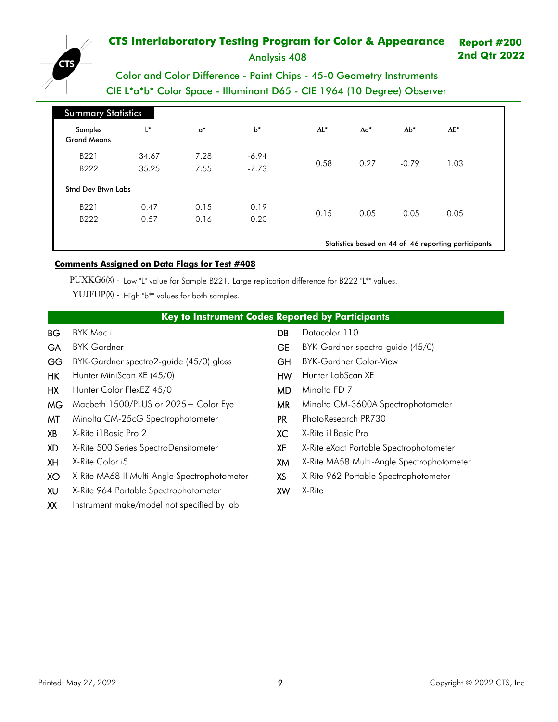

Analysis 408

**2nd Qtr 2022**

# Color and Color Difference - Paint Chips - 45-0 Geometry Instruments CIE L\*a\*b\* Color Space - Illuminant D65 - CIE 1964 (10 Degree) Observer

| <b>Summary Statistics</b>     |                |                            |                    |                          |                          |              |                                                     |  |
|-------------------------------|----------------|----------------------------|--------------------|--------------------------|--------------------------|--------------|-----------------------------------------------------|--|
| Samples<br><b>Grand Means</b> | Ľ              | $\underline{\mathbf{a}}^*$ | $b^*$              | $\underline{\Delta L^*}$ | $\underline{\Delta a^*}$ | $\Delta b^*$ | $\underline{\Delta E^*}$                            |  |
| B221<br>B222                  | 34.67<br>35.25 | 7.28<br>7.55               | $-6.94$<br>$-7.73$ | 0.58                     | 0.27                     | $-0.79$      | 1.03                                                |  |
| <b>Stnd Dev Btwn Labs</b>     |                |                            |                    |                          |                          |              |                                                     |  |
| B221<br>B222                  | 0.47<br>0.57   | 0.15<br>0.16               | 0.19<br>0.20       | 0.15                     | 0.05                     | 0.05         | 0.05                                                |  |
|                               |                |                            |                    |                          |                          |              | Statistics based on 44 of 46 reporting participants |  |

### **Comments Assigned on Data Flags for Test # 408**

PUXKG6(X) - Low "L" value for Sample B221. Large replication difference for B222 "L\*" values.

YUJFUP(X) - High "b\*" values for both samples.

|           | <b>Key to Instrument Codes Reported by Participants</b> |           |                                           |  |  |  |  |  |  |  |
|-----------|---------------------------------------------------------|-----------|-------------------------------------------|--|--|--|--|--|--|--|
| BG        | BYK Mac i                                               | DB        | Datacolor 110                             |  |  |  |  |  |  |  |
| <b>GA</b> | <b>BYK-Gardner</b>                                      | <b>GE</b> | BYK-Gardner spectro-guide (45/0)          |  |  |  |  |  |  |  |
| GG        | BYK-Gardner spectro2-guide (45/0) gloss                 | GH        | <b>BYK-Gardner Color-View</b>             |  |  |  |  |  |  |  |
| HK        | Hunter MiniScan XE (45/0)                               | HW        | Hunter LabScan XE                         |  |  |  |  |  |  |  |
| HХ        | Hunter Color FlexEZ 45/0                                | MD.       | Minolta FD 7                              |  |  |  |  |  |  |  |
| <b>MG</b> | Macbeth 1500/PLUS or 2025+ Color Eye                    | MR.       | Minolta CM-3600A Spectrophotometer        |  |  |  |  |  |  |  |
| MT        | Minolta CM-25cG Spectrophotometer                       | <b>PR</b> | PhotoResearch PR730                       |  |  |  |  |  |  |  |
| XB        | X-Rite il Basic Pro 2                                   | XC        | X-Rite i I Basic Pro                      |  |  |  |  |  |  |  |
| XD        | X-Rite 500 Series SpectroDensitometer                   | <b>XE</b> | X-Rite eXact Portable Spectrophotometer   |  |  |  |  |  |  |  |
| XH        | X-Rite Color i5                                         | XM        | X-Rite MA58 Multi-Angle Spectrophotometer |  |  |  |  |  |  |  |
| XO        | X-Rite MA68 II Multi-Angle Spectrophotometer            | XS        | X-Rite 962 Portable Spectrophotometer     |  |  |  |  |  |  |  |
| XU        | X-Rite 964 Portable Spectrophotometer                   | XW        | X-Rite                                    |  |  |  |  |  |  |  |

XX Instrument make/model not specified by lab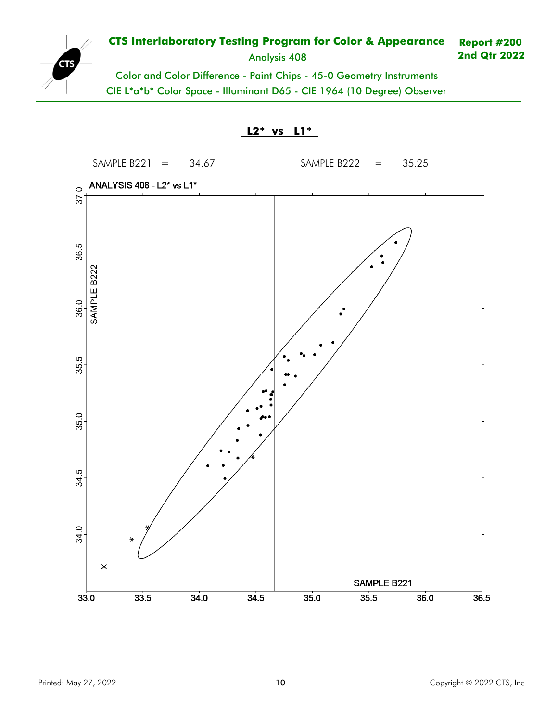

#### **CTS Interlaboratory Testing Program for Color & Appearance** Analysis 408 **Report #200 2nd Qtr 2022**

Color and Color Difference - Paint Chips - 45-0 Geometry Instruments CIE L\*a\*b\* Color Space - Illuminant D65 - CIE 1964 (10 Degree) Observer

**L2\* vs L1\***

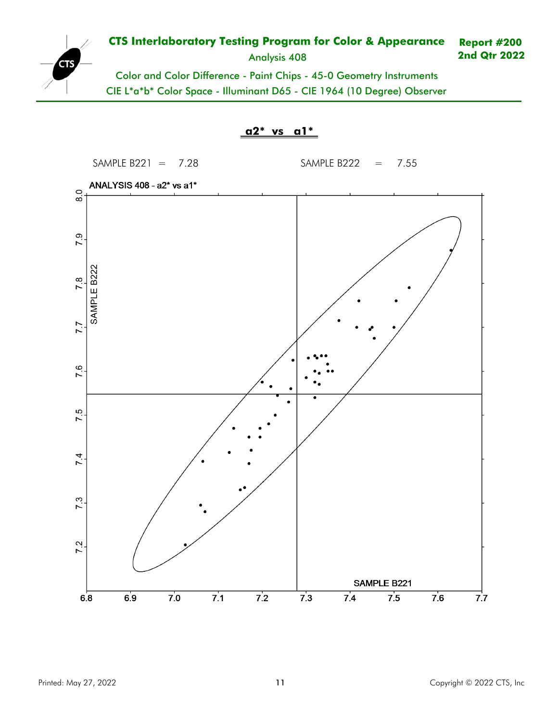

#### **CTS Interlaboratory Testing Program for Color & Appearance** Analysis 408 **Report #200 2nd Qtr 2022**

Color and Color Difference - Paint Chips - 45-0 Geometry Instruments CIE L\*a\*b\* Color Space - Illuminant D65 - CIE 1964 (10 Degree) Observer

**a2\* vs a1\***

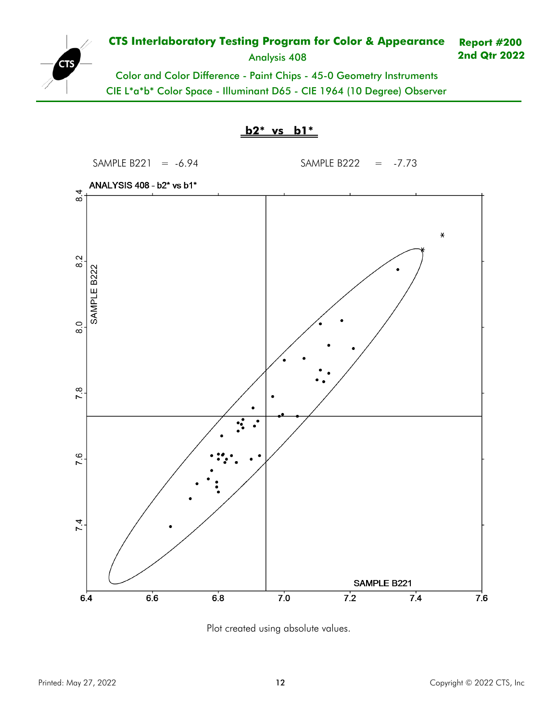

#### **CTS Interlaboratory Testing Program for Color & Appearance** Analysis 408 **Report #200 2nd Qtr 2022**

Color and Color Difference - Paint Chips - 45-0 Geometry Instruments CIE L\*a\*b\* Color Space - Illuminant D65 - CIE 1964 (10 Degree) Observer





Plot created using absolute values.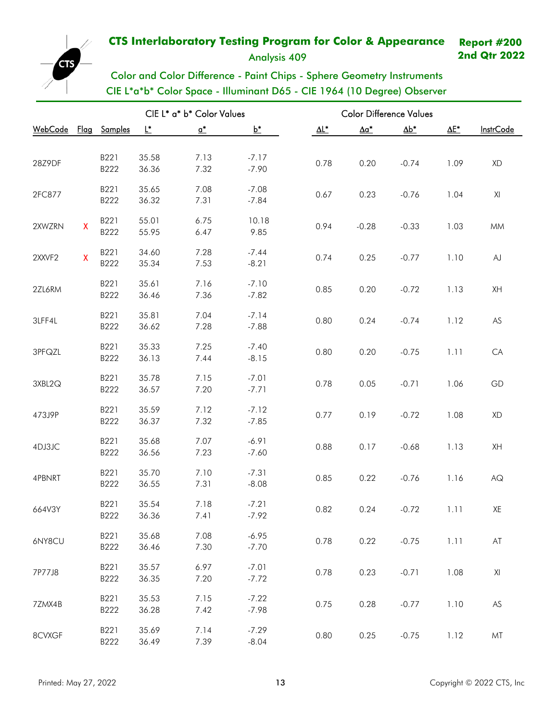Analysis 409

**2nd Qtr 2022**

<span id="page-12-0"></span>

Color and Color Difference - Paint Chips - Sphere Geometry Instruments CIE L\*a\*b\* Color Space - Illuminant D65 - CIE 1964 (10 Degree) Observer

|                 |                           |                |                | CIE L* a* b* Color Values  |                    | <b>Color Difference Values</b> |                          |              |              |                        |  |  |
|-----------------|---------------------------|----------------|----------------|----------------------------|--------------------|--------------------------------|--------------------------|--------------|--------------|------------------------|--|--|
| <u> WebCode</u> | <u>Flag</u>               | <b>Samples</b> | L*             | $\underline{\mathsf{a}}^*$ | $b^*$              | $\Delta L^*$                   | $\underline{\Delta a^*}$ | $\Delta b^*$ | $\Delta E^*$ | <b>InstrCode</b>       |  |  |
|                 |                           |                |                |                            |                    |                                |                          |              |              |                        |  |  |
| 28Z9DF          |                           | B221           | 35.58          | 7.13                       | $-7.17$            | 0.78                           | 0.20                     | $-0.74$      | 1.09         | XD                     |  |  |
|                 |                           | B222           | 36.36          | 7.32                       | $-7.90$            |                                |                          |              |              |                        |  |  |
|                 |                           | B221           | 35.65          | 7.08                       | $-7.08$            |                                |                          |              |              |                        |  |  |
| 2FC877          |                           | B222           | 36.32          | 7.31                       | $-7.84$            | 0.67                           | 0.23                     | $-0.76$      | 1.04         | XI                     |  |  |
|                 |                           | B221           | 55.01          | 6.75                       | 10.18              |                                |                          |              |              |                        |  |  |
| 2XWZRN          | $\boldsymbol{\mathsf{X}}$ | B222           | 55.95          | 6.47                       | 9.85               | 0.94                           | $-0.28$                  | $-0.33$      | 1.03         | <b>MM</b>              |  |  |
|                 |                           |                |                |                            |                    |                                |                          |              |              |                        |  |  |
| 2XXVF2          | $\mathsf{X}$              | B221           | 34.60          | 7.28                       | $-7.44$            | 0.74                           | 0.25                     | $-0.77$      | 1.10         | AJ                     |  |  |
|                 |                           | B222           | 35.34          | 7.53                       | $-8.21$            |                                |                          |              |              |                        |  |  |
|                 |                           | B221           | 35.61          | 7.16                       | $-7.10$            | 0.85                           |                          | $-0.72$      |              | XH                     |  |  |
| 2ZL6RM          |                           | B222           | 36.46          | 7.36                       | $-7.82$            |                                | 0.20                     |              | 1.13         |                        |  |  |
|                 |                           | B221           | 35.81          | 7.04                       | $-7.14$            |                                |                          |              |              |                        |  |  |
| 3LFF4L          |                           | B222           | 36.62          | 7.28                       | $-7.88$            | 0.80                           | 0.24                     | $-0.74$      | 1.12         | $AS$                   |  |  |
|                 |                           |                |                |                            |                    |                                |                          |              |              |                        |  |  |
| 3PFQZL          |                           | B221           | 35.33          | 7.25                       | $-7.40$            | 0.80                           | 0.20                     | $-0.75$      | 1.11         | CA                     |  |  |
|                 |                           | B222           | 36.13          | 7.44                       | $-8.15$            |                                |                          |              |              |                        |  |  |
| 3XBL2Q          |                           | B221           | 35.78          | 7.15                       | $-7.01$            | 0.78                           | 0.05                     | $-0.71$      | 1.06         | GD                     |  |  |
|                 |                           | B222           | 36.57          | 7.20                       | $-7.71$            |                                |                          |              |              |                        |  |  |
|                 |                           | B221           | 35.59          | 7.12                       | $-7.12$            |                                |                          |              |              |                        |  |  |
| 473J9P          |                           | B222           | 36.37          | 7.32                       | $-7.85$            | 0.77                           | 0.19                     | $-0.72$      | 1.08         | XD                     |  |  |
|                 |                           |                |                |                            |                    |                                |                          |              |              |                        |  |  |
| 4DJ3JC          |                           | B221<br>B222   | 35.68<br>36.56 | 7.07<br>7.23               | $-6.91$<br>$-7.60$ | 0.88                           | 0.17                     | $-0.68$      | 1.13         | XH                     |  |  |
|                 |                           |                |                |                            |                    |                                |                          |              |              |                        |  |  |
| 4PBNRT          |                           | B221           | 35.70          | 7.10                       | $-7.31$            | 0.85                           | 0.22                     | $-0.76$      | 1.16         | $\mathsf{A}\mathsf{Q}$ |  |  |
|                 |                           | B222           | 36.55          | 7.31                       | $-8.08$            |                                |                          |              |              |                        |  |  |
|                 |                           | B221           | 35.54          | 7.18                       | $-7.21$            |                                |                          |              |              |                        |  |  |
| 664V3Y          |                           | B222           | 36.36          | 7.41                       | $-7.92$            | 0.82                           | 0.24                     | $-0.72$      | 1.11         | XE                     |  |  |
|                 |                           | B221           | 35.68          | 7.08                       | $-6.95$            |                                |                          |              |              |                        |  |  |
| 6NY8CU          |                           | B222           | 36.46          | 7.30                       | $-7.70$            | 0.78                           | 0.22                     | $-0.75$      | 1.11         | $\mathsf{AT}$          |  |  |
|                 |                           |                |                |                            |                    |                                |                          |              |              |                        |  |  |
| 7P77J8          |                           | B221           | 35.57          | 6.97                       | $-7.01$            | 0.78                           | 0.23                     | $-0.71$      | 1.08         | XI                     |  |  |
|                 |                           | B222           | 36.35          | 7.20                       | $-7.72$            |                                |                          |              |              |                        |  |  |
|                 |                           | B221           | 35.53          | 7.15                       | $-7.22$            |                                |                          |              |              | AS                     |  |  |
| 7ZMX4B          |                           | B222           | 36.28          | 7.42                       | $-7.98$            | 0.75                           | 0.28                     | $-0.77$      | 1.10         |                        |  |  |
|                 |                           | B221           | 35.69          | 7.14                       | $-7.29$            |                                |                          |              |              |                        |  |  |
| 8CVXGF          |                           | B222           | 36.49          | 7.39                       | $-8.04$            | 0.80                           | 0.25                     | $-0.75$      | 1.12         | MT                     |  |  |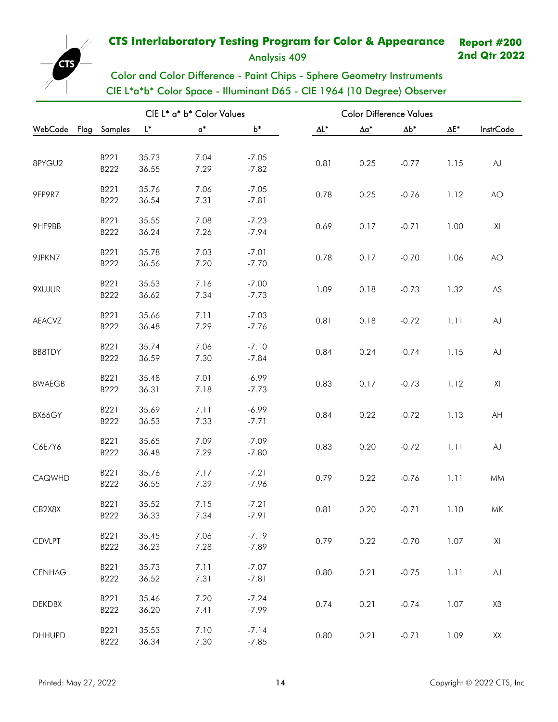Analysis 409

**2nd Qtr 2022**



|                     |                |                | CIE L* a* b* Color Values |                    | <b>Color Difference Values</b> |              |            |      |                         |
|---------------------|----------------|----------------|---------------------------|--------------------|--------------------------------|--------------|------------|------|-------------------------|
| <u>WebCode Flag</u> | <b>Samples</b> | L*             | $\mathbf{a}^*$            | $b^*$              | $\Delta L^*$                   | $\Delta a^*$ | <u>∆b*</u> | ΔE*  | <b>InstrCode</b>        |
|                     |                |                |                           |                    |                                |              |            |      |                         |
| 8PYGU2              | B221           | 35.73          | 7.04                      | $-7.05$            | 0.81                           | 0.25         | $-0.77$    | 1.15 | AJ                      |
|                     | B222           | 36.55          | 7.29                      | $-7.82$            |                                |              |            |      |                         |
| 9FP9R7              | B221           | 35.76          | 7.06                      | $-7.05$            | 0.78                           | 0.25         | $-0.76$    | 1.12 | AO                      |
|                     | B222           | 36.54          | 7.31                      | $-7.81$            |                                |              |            |      |                         |
|                     | B221           | 35.55          | 7.08                      | $-7.23$            |                                |              |            |      |                         |
| 9HF9BB              | B222           | 36.24          | 7.26                      | $-7.94$            | 0.69                           | 0.17         | $-0.71$    | 1.00 | XI                      |
|                     | B221           | 35.78          | 7.03                      | $-7.01$            |                                |              |            |      |                         |
| 9JPKN7              | B222           | 36.56          | 7.20                      | $-7.70$            | 0.78                           | 0.17         | $-0.70$    | 1.06 | AO                      |
|                     |                |                |                           |                    |                                |              |            |      |                         |
| 9XUJUR              | B221           | 35.53          | 7.16                      | $-7.00$<br>$-7.73$ | 1.09                           | 0.18         | $-0.73$    | 1.32 | $AS$                    |
|                     | B222           | 36.62          | 7.34                      |                    |                                |              |            |      |                         |
| AEACVZ              | B221           | 35.66          | 7.11                      | $-7.03$            | 0.81                           | 0.18         | $-0.72$    | 1.11 | AJ                      |
|                     | B222           | 36.48          | 7.29                      | $-7.76$            |                                |              |            |      |                         |
|                     | B221           | 35.74          | 7.06                      | $-7.10$            |                                |              |            |      |                         |
| BB8TDY              | B222           | 36.59          | 7.30                      | $-7.84$            | 0.84                           | 0.24         | $-0.74$    | 1.15 | AJ                      |
|                     | B221           | 35.48          | 7.01                      | $-6.99$            |                                |              |            |      |                         |
| <b>BWAEGB</b>       | B222           | 36.31          | 7.18                      | $-7.73$            | 0.83                           | 0.17         | $-0.73$    | 1.12 | XI                      |
|                     | B221           | 35.69          | 7.11                      | $-6.99$            |                                |              |            |      |                         |
| BX66GY              | B222           | 36.53          | 7.33                      | $-7.71$            | 0.84                           | 0.22         | $-0.72$    | 1.13 | AH                      |
|                     |                |                |                           |                    |                                |              |            |      |                         |
| C6E7Y6              | B221<br>B222   | 35.65<br>36.48 | 7.09<br>7.29              | $-7.09$<br>$-7.80$ | 0.83                           | 0.20         | $-0.72$    | 1.11 | AJ                      |
|                     |                |                |                           |                    |                                |              |            |      |                         |
| CAQWHD              | B221           | 35.76          | 7.17                      | $-7.21$            | 0.79                           | 0.22         | $-0.76$    | 1.11 | MM                      |
|                     | B222           | 36.55          | 7.39                      | $-7.96$            |                                |              |            |      |                         |
| CB2X8X              | B221           | 35.52          | 7.15                      | $-7.21$            | 0.81                           | 0.20         | $-0.71$    | 1.10 | MK                      |
|                     | B222           | 36.33          | 7.34                      | $-7.91$            |                                |              |            |      |                         |
|                     | B221           | 35.45          | 7.06                      | $-7.19$            |                                |              |            |      |                         |
| <b>CDVLPT</b>       | B222           | 36.23          | 7.28                      | $-7.89$            | 0.79                           | 0.22         | $-0.70$    | 1.07 | $\mathsf{X} \mathsf{I}$ |
|                     | B221           | 35.73          | 7.11                      | $-7.07$            |                                |              |            |      |                         |
| <b>CENHAG</b>       | B222           | 36.52          | 7.31                      | $-7.81$            | 0.80                           | 0.21         | $-0.75$    | 1.11 | ${\sf AJ}$              |
|                     |                |                |                           |                    |                                |              |            |      |                         |
| <b>DEKDBX</b>       | B221<br>B222   | 35.46<br>36.20 | 7.20<br>7.41              | $-7.24$<br>$-7.99$ | 0.74                           | 0.21         | $-0.74$    | 1.07 | XB                      |
|                     |                |                |                           |                    |                                |              |            |      |                         |
| <b>DHHUPD</b>       | B221           | 35.53          | 7.10                      | $-7.14$            | 0.80                           | 0.21         | $-0.71$    | 1.09 | $\mathsf{XX}$           |
|                     | B222           | 36.34          | 7.30                      | $-7.85$            |                                |              |            |      |                         |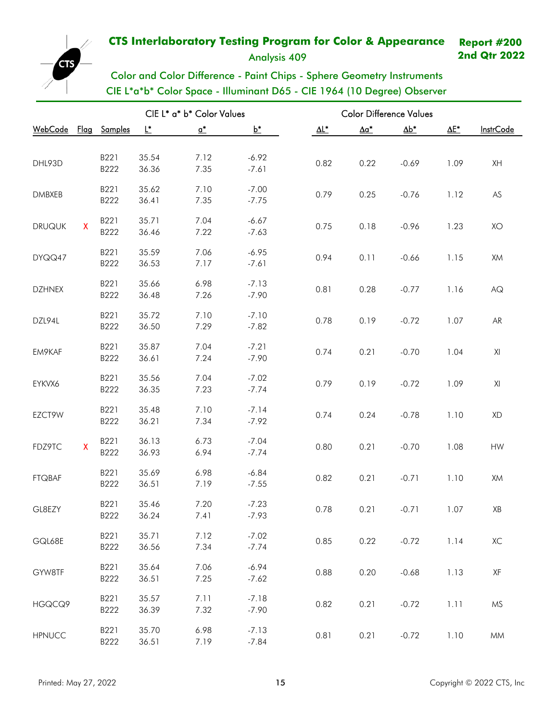Analysis 409

**2nd Qtr 2022**



Color and Color Difference - Paint Chips - Sphere Geometry Instruments CIE L\*a\*b\* Color Space - Illuminant D65 - CIE 1964 (10 Degree) Observer

|                      |              |              |                | CIE L* a* b* Color Values |                    | <b>Color Difference Values</b> |              |              |              |                  |
|----------------------|--------------|--------------|----------------|---------------------------|--------------------|--------------------------------|--------------|--------------|--------------|------------------|
| WebCode Flag Samples |              |              | L*             | $\mathbf{a}^*$            | $b^*$              | $\Delta$ L*                    | $\Delta a^*$ | $\Delta b^*$ | $\Delta E^*$ | <b>InstrCode</b> |
|                      |              |              |                |                           |                    |                                |              |              |              |                  |
| DHL93D               |              | B221         | 35.54          | 7.12                      | $-6.92$            | 0.82                           | 0.22         | $-0.69$      | 1.09         | XH               |
|                      |              | B222         | 36.36          | 7.35                      | $-7.61$            |                                |              |              |              |                  |
|                      |              | B221         | 35.62          | 7.10                      | $-7.00$            |                                |              |              |              |                  |
| <b>DMBXEB</b>        |              | B222         | 36.41          | 7.35                      | $-7.75$            | 0.79                           | 0.25         | $-0.76$      | 1.12         | AS               |
|                      |              | B221         | 35.71          | 7.04                      | $-6.67$            |                                |              |              |              |                  |
| <b>DRUQUK</b>        | $\mathsf{X}$ | B222         | 36.46          | 7.22                      | $-7.63$            | 0.75                           | 0.18         | $-0.96$      | 1.23         | XO               |
|                      |              | B221         | 35.59          | 7.06                      | $-6.95$            |                                |              |              |              |                  |
| DYQQ47               |              | B222         | 36.53          | 7.17                      | $-7.61$            | 0.94                           | 0.11         | $-0.66$      | 1.15         | XM               |
|                      |              |              |                |                           |                    |                                |              |              |              |                  |
| <b>DZHNEX</b>        |              | B221<br>B222 | 35.66<br>36.48 | 6.98<br>7.26              | $-7.13$<br>$-7.90$ | 0.81                           | 0.28         | $-0.77$      | 1.16         | AG               |
|                      |              |              |                |                           |                    |                                |              |              |              |                  |
| DZL94L               |              | B221         | 35.72          | 7.10                      | $-7.10$            | 0.78                           | 0.19         | $-0.72$      | 1.07         | ${\sf AR}$       |
|                      |              | B222         | 36.50          | 7.29                      | $-7.82$            |                                |              |              |              |                  |
| EM9KAF               |              | B221         | 35.87          | 7.04                      | $-7.21$            | 0.74                           | 0.21         | $-0.70$      | 1.04         | XI               |
|                      |              | B222         | 36.61          | 7.24                      | $-7.90$            |                                |              |              |              |                  |
| EYKVX6               |              | B221         | 35.56          | 7.04                      | $-7.02$            | 0.79                           | 0.19         | $-0.72$      | 1.09         | XI               |
|                      |              | B222         | 36.35          | 7.23                      | $-7.74$            |                                |              |              |              |                  |
|                      |              | B221         | 35.48          | 7.10                      | $-7.14$            |                                |              |              |              |                  |
| EZCT9W               |              | B222         | 36.21          | 7.34                      | $-7.92$            | 0.74                           | 0.24         | $-0.78$      | 1.10         | XD               |
|                      |              | B221         | 36.13          | 6.73                      | $-7.04$            |                                |              |              |              |                  |
| FDZ9TC               | $\mathsf{X}$ | B222         | 36.93          | 6.94                      | $-7.74$            | 0.80                           | 0.21         | $-0.70$      | 1.08         | HW               |
|                      |              | B221         | 35.69          | 6.98                      | $-6.84$            |                                |              |              |              |                  |
| <b>FTQBAF</b>        |              | B222         | 36.51          | 7.19                      | $-7.55$            | 0.82                           | 0.21         | $-0.71$      | 1.10         | XM               |
|                      |              |              |                |                           |                    |                                |              |              |              |                  |
| GL8EZY               |              | B221<br>B222 | 35.46<br>36.24 | 7.20<br>7.41              | $-7.23$<br>$-7.93$ | 0.78                           | 0.21         | $-0.71$      | 1.07         | XB               |
|                      |              |              |                |                           |                    |                                |              |              |              |                  |
| GQL68E               |              | B221         | 35.71          | 7.12                      | $-7.02$            | 0.85                           | 0.22         | $-0.72$      | 1.14         | ХC               |
|                      |              | B222         | 36.56          | 7.34                      | $-7.74$            |                                |              |              |              |                  |
| GYW8TF               |              | B221         | 35.64          | 7.06                      | $-6.94$            | 0.88                           | 0.20         | $-0.68$      | 1.13         | XF               |
|                      |              | B222         | 36.51          | 7.25                      | $-7.62$            |                                |              |              |              |                  |
|                      |              | B221         | 35.57          | 7.11                      | $-7.18$            |                                |              |              |              |                  |
| HGQCQ9               |              | B222         | 36.39          | 7.32                      | $-7.90$            | 0.82                           | 0.21         | $-0.72$      | 1.11         | <b>MS</b>        |
|                      |              | B221         | 35.70          | 6.98                      | $-7.13$            |                                |              |              |              |                  |
| <b>HPNUCC</b>        |              | B222         | 36.51          | 7.19                      | $-7.84$            | 0.81                           | 0.21         | $-0.72$      | 1.10         | <b>MM</b>        |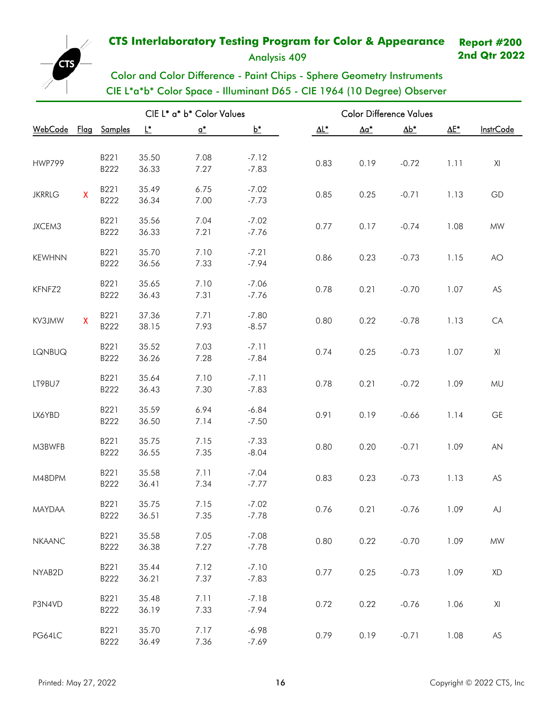Analysis 409

**2nd Qtr 2022**



CIE L\*a\*b\* Color Space - Illuminant D65 - CIE 1964 (10 Degree) Observer

|                      |              |              | CIE L* a* b* Color Values |                            |                    | <b>Color Difference Values</b> |              |              |              |                  |
|----------------------|--------------|--------------|---------------------------|----------------------------|--------------------|--------------------------------|--------------|--------------|--------------|------------------|
| WebCode Flag Samples |              |              | L*                        | $\underline{\mathsf{o}}^*$ | $b^*$              | $\Delta$ L*                    | $\Delta a^*$ | $\Delta b^*$ | $\Delta E^*$ | <b>InstrCode</b> |
|                      |              |              |                           |                            |                    |                                |              |              |              |                  |
| <b>HWP799</b>        |              | B221         | 35.50                     | 7.08                       | $-7.12$            | 0.83                           | 0.19         | $-0.72$      | 1.11         | XI               |
|                      |              | B222         | 36.33                     | 7.27                       | $-7.83$            |                                |              |              |              |                  |
|                      |              | B221         | 35.49                     | 6.75                       | $-7.02$            |                                |              |              |              | GD               |
| <b>JKRRLG</b>        | $\mathsf{X}$ | B222         | 36.34                     | 7.00                       | $-7.73$            | 0.85                           | 0.25         | $-0.71$      | 1.13         |                  |
|                      |              | B221         | 35.56                     | 7.04                       | $-7.02$            |                                |              |              |              |                  |
| JXCEM3               |              | B222         | 36.33                     | 7.21                       | $-7.76$            | 0.77                           | 0.17         | $-0.74$      | 1.08         | $\textsf{MW}{}$  |
|                      |              | B221         | 35.70                     | 7.10                       | $-7.21$            |                                |              |              |              |                  |
| <b>KEWHNN</b>        |              | B222         | 36.56                     | 7.33                       | $-7.94$            | 0.86                           | 0.23         | $-0.73$      | 1.15         | AO               |
|                      |              | B221         | 35.65                     | 7.10                       | $-7.06$            |                                |              |              |              |                  |
| KFNFZ2               |              | B222         | 36.43                     | 7.31                       | $-7.76$            | 0.78                           | 0.21         | $-0.70$      | 1.07         | ${\sf AS}$       |
|                      |              |              |                           |                            |                    |                                |              |              |              |                  |
| KV3JMW               | $\mathsf{X}$ | B221<br>B222 | 37.36<br>38.15            | 7.71<br>7.93               | $-7.80$<br>$-8.57$ | 0.80                           | 0.22         | $-0.78$      | 1.13         | CA               |
|                      |              |              |                           |                            |                    |                                |              |              |              |                  |
| LQNBUQ               |              | B221<br>B222 | 35.52                     | 7.03                       | $-7.11$<br>$-7.84$ | 0.74                           | 0.25         | $-0.73$      | 1.07         | XI               |
|                      |              |              | 36.26                     | 7.28                       |                    |                                |              |              |              |                  |
| LT9BU7               |              | B221         | 35.64                     | 7.10                       | $-7.11$            | 0.78                           | 0.21         | $-0.72$      | 1.09         | MU               |
|                      |              | B222         | 36.43                     | 7.30                       | $-7.83$            |                                |              |              |              |                  |
| LX6YBD               |              | B221         | 35.59                     | 6.94                       | $-6.84$            | 0.91                           | 0.19         | $-0.66$      | 1.14         | GE               |
|                      |              | B222         | 36.50                     | 7.14                       | $-7.50$            |                                |              |              |              |                  |
|                      |              | B221         | 35.75                     | 7.15                       | $-7.33$            |                                |              |              |              |                  |
| M3BWFB               |              | B222         | 36.55                     | 7.35                       | $-8.04$            | 0.80                           | 0.20         | $-0.71$      | 1.09         | AN               |
|                      |              | B221         | 35.58                     | 7.11                       | $-7.04$            |                                |              |              |              |                  |
| M48DPM               |              | B222         | 36.41                     | 7.34                       | $-7.77$            | 0.83                           | 0.23         | $-0.73$      | 1.13         | ${\sf AS}$       |
|                      |              | B221         | 35.75                     | 7.15                       | $-7.02$            |                                |              |              |              |                  |
| <b>MAYDAA</b>        |              | B222         | 36.51                     | 7.35                       | $-7.78$            | 0.76                           | 0.21         | $-0.76$      | 1.09         | ${\sf AJ}$       |
|                      |              | B221         | 35.58                     | 7.05                       | $-7.08$            |                                |              |              |              |                  |
| <b>NKAANC</b>        |              | B222         | 36.38                     | 7.27                       | $-7.78$            | 0.80                           | 0.22         | $-0.70$      | 1.09         | $\textsf{MW}{}$  |
|                      |              | B221         | 35.44                     | 7.12                       | $-7.10$            |                                |              |              |              |                  |
| NYAB2D               |              | B222         | 36.21                     | 7.37                       | $-7.83$            | 0.77                           | 0.25         | $-0.73$      | 1.09         | XD               |
|                      |              |              |                           |                            |                    |                                |              |              |              |                  |
| P3N4VD               |              | B221<br>B222 | 35.48<br>36.19            | 7.11<br>7.33               | $-7.18$<br>$-7.94$ | 0.72                           | 0.22         | $-0.76$      | 1.06         | XI               |
|                      |              |              |                           |                            |                    |                                |              |              |              |                  |
| PG64LC               |              | B221         | 35.70                     | 7.17                       | $-6.98$            | 0.79                           | 0.19         | $-0.71$      | 1.08         | AS               |
|                      |              | B222         | 36.49                     | 7.36                       | $-7.69$            |                                |              |              |              |                  |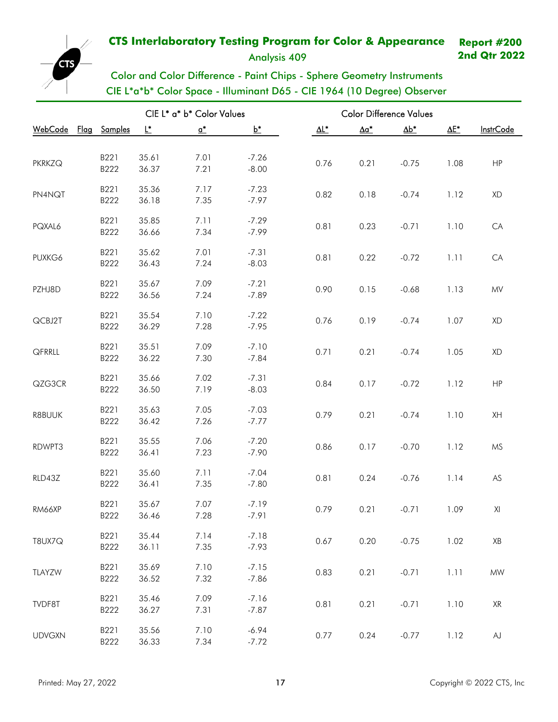Analysis 409

**2nd Qtr 2022**



|                                |              |                | CIE L* a* b* Color Values  |                    | <b>Color Difference Values</b> |                          |              |              |                  |
|--------------------------------|--------------|----------------|----------------------------|--------------------|--------------------------------|--------------------------|--------------|--------------|------------------|
| <u> WebCode</u><br><u>Flag</u> | Samples      | L*             | $\underline{\mathsf{o}}^*$ | $b^*$              | $\Delta\mathsf{L}^*$           | $\underline{\Delta a^*}$ | $\Delta b^*$ | $\Delta E^*$ | <b>InstrCode</b> |
|                                |              |                |                            |                    |                                |                          |              |              |                  |
| <b>PKRKZQ</b>                  | B221         | 35.61          | 7.01                       | $-7.26$            | 0.76                           | 0.21                     | $-0.75$      | 1.08         | HP               |
|                                | B222         | 36.37          | 7.21                       | $-8.00$            |                                |                          |              |              |                  |
|                                | B221         | 35.36          | 7.17                       | $-7.23$            |                                |                          |              |              |                  |
| PN4NQT                         | B222         | 36.18          | 7.35                       | $-7.97$            | 0.82                           | 0.18                     | $-0.74$      | 1.12         | XD               |
|                                | B221         | 35.85          | 7.11                       | $-7.29$            |                                |                          |              |              |                  |
| PQXAL6                         | B222         | 36.66          | 7.34                       | $-7.99$            | 0.81                           | 0.23                     | $-0.71$      | 1.10         | CA               |
|                                | B221         | 35.62          | 7.01                       | $-7.31$            |                                |                          |              |              |                  |
| PUXKG6                         | B222         | 36.43          | 7.24                       | $-8.03$            | 0.81                           | 0.22                     | $-0.72$      | 1.11         | CA               |
|                                |              |                |                            |                    |                                |                          |              |              |                  |
| PZHJ8D                         | B221<br>B222 | 35.67<br>36.56 | 7.09<br>7.24               | $-7.21$<br>$-7.89$ | 0.90                           | 0.15                     | $-0.68$      | 1.13         | ${\sf MV}$       |
|                                |              |                |                            |                    |                                |                          |              |              |                  |
| QCBJ2T                         | B221         | 35.54          | 7.10                       | $-7.22$            | 0.76                           | 0.19                     | $-0.74$      | 1.07         | XD               |
|                                | B222         | 36.29          | 7.28                       | $-7.95$            |                                |                          |              |              |                  |
|                                | B221         | 35.51          | 7.09                       | $-7.10$            |                                |                          |              |              |                  |
| QFRRLL                         | B222         | 36.22          | 7.30                       | $-7.84$            | 0.71                           | 0.21                     | $-0.74$      | 1.05         | XD               |
|                                | B221         | 35.66          | 7.02                       | $-7.31$            |                                |                          |              |              |                  |
| QZG3CR                         | B222         | 36.50          | 7.19                       | $-8.03$            | 0.84                           | 0.17                     | $-0.72$      | 1.12         | HP               |
|                                | B221         | 35.63          | 7.05                       | $-7.03$            |                                |                          |              |              |                  |
| R8BUUK                         | B222         | 36.42          | 7.26                       | $-7.77$            | 0.79                           | 0.21                     | $-0.74$      | 1.10         | XH               |
|                                | B221         | 35.55          | 7.06                       | $-7.20$            |                                |                          |              |              |                  |
| RDWPT3                         | B222         | 36.41          | 7.23                       | $-7.90$            | 0.86                           | 0.17                     | $-0.70$      | 1.12         | MS               |
|                                |              |                |                            |                    |                                |                          |              |              |                  |
| RLD43Z                         | B221         | 35.60          | 7.11                       | $-7.04$            | 0.81                           | 0.24                     | $-0.76$      | 1.14         | ${\sf AS}$       |
|                                | B222         | 36.41          | 7.35                       | $-7.80$            |                                |                          |              |              |                  |
| RM66XP                         | B221         | 35.67          | 7.07                       | $-7.19$            | 0.79                           | 0.21                     | $-0.71$      | 1.09         | XI               |
|                                | B222         | 36.46          | 7.28                       | $-7.91$            |                                |                          |              |              |                  |
|                                | B221         | 35.44          | 7.14                       | $-7.18$            | 0.67                           | 0.20                     | $-0.75$      |              | $\mathsf{XB}$    |
| T8UX7Q                         | B222         | 36.11          | 7.35                       | $-7.93$            |                                |                          |              | 1.02         |                  |
|                                | B221         | 35.69          | 7.10                       | $-7.15$            |                                |                          |              |              |                  |
| TLAYZW                         | B222         | 36.52          | 7.32                       | $-7.86$            | 0.83                           | 0.21                     | $-0.71$      | 1.11         | $\textsf{MW}{}$  |
|                                | B221         | 35.46          | 7.09                       | $-7.16$            |                                |                          |              |              |                  |
| TVDF8T                         | B222         | 36.27          | 7.31                       | $-7.87$            | 0.81                           | 0.21                     | $-0.71$      | 1.10         | XR               |
|                                |              |                |                            |                    |                                |                          |              |              |                  |
| <b>UDVGXN</b>                  | B221<br>B222 | 35.56<br>36.33 | 7.10<br>7.34               | $-6.94$<br>$-7.72$ | 0.77                           | 0.24                     | $-0.77$      | 1.12         | ${\sf AJ}$       |
|                                |              |                |                            |                    |                                |                          |              |              |                  |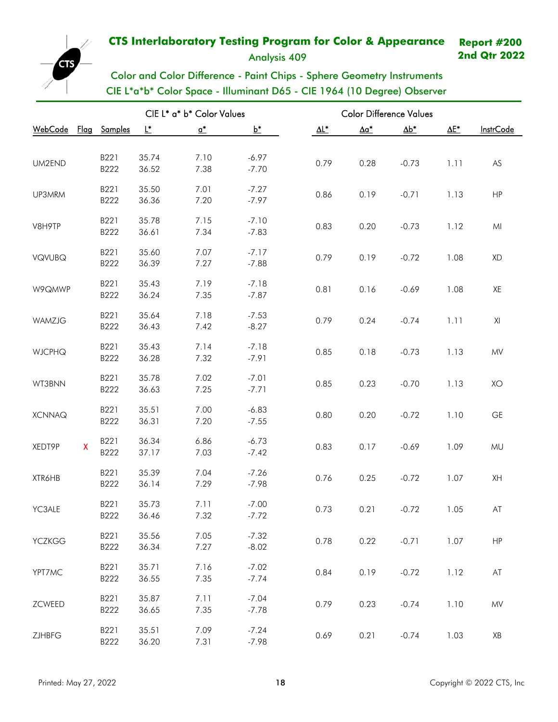Analysis 409

**2nd Qtr 2022**



Color and Color Difference - Paint Chips - Sphere Geometry Instruments CIE L\*a\*b\* Color Space - Illuminant D65 - CIE 1964 (10 Degree) Observer

|                     |              |                |       | CIE L* a* b* Color Values  |         |                      | <b>Color Difference Values</b> |              |              |                  |
|---------------------|--------------|----------------|-------|----------------------------|---------|----------------------|--------------------------------|--------------|--------------|------------------|
| <u>WebCode</u> Flag |              | <b>Samples</b> | Ŀ.    | $\underline{\mathsf{o}}^*$ | $b^*$   | $\Delta\mathsf{L}^*$ | $\Delta a^*$                   | $\Delta b^*$ | $\Delta E^*$ | <b>InstrCode</b> |
|                     |              |                |       |                            |         |                      |                                |              |              |                  |
| UM2END              |              | B221           | 35.74 | 7.10                       | $-6.97$ | 0.79                 | 0.28                           | $-0.73$      | 1.11         | AS               |
|                     |              | B222           | 36.52 | 7.38                       | $-7.70$ |                      |                                |              |              |                  |
| UP3MRM              |              | B221           | 35.50 | 7.01                       | $-7.27$ | 0.86                 | 0.19                           | $-0.71$      | 1.13         | HP               |
|                     |              | B222           | 36.36 | 7.20                       | $-7.97$ |                      |                                |              |              |                  |
|                     |              | B221           | 35.78 | 7.15                       | $-7.10$ |                      |                                |              |              |                  |
| V8H9TP              |              | B222           | 36.61 | 7.34                       | $-7.83$ | 0.83                 | 0.20                           | $-0.73$      | 1.12         | MI               |
|                     |              | B221           | 35.60 | 7.07                       | $-7.17$ |                      |                                |              |              |                  |
| VQVUBQ              |              | B222           | 36.39 | 7.27                       | $-7.88$ | 0.79                 | 0.19                           | $-0.72$      | 1.08         | XD               |
|                     |              | B221           | 35.43 | 7.19                       | $-7.18$ |                      |                                |              |              |                  |
| W9QMWP              |              | B222           | 36.24 | 7.35                       | $-7.87$ | 0.81                 | 0.16                           | $-0.69$      | 1.08         | XE               |
|                     |              | B221           | 35.64 | 7.18                       | $-7.53$ |                      |                                |              |              |                  |
| WAMZJG              |              | B222           | 36.43 | 7.42                       | $-8.27$ | 0.79                 | 0.24                           | $-0.74$      | 1.11         | XI               |
|                     |              | B221           | 35.43 | 7.14                       | $-7.18$ |                      |                                |              |              |                  |
| <b>WJCPHQ</b>       |              | B222           | 36.28 | 7.32                       | $-7.91$ | 0.85                 | 0.18                           | $-0.73$      | 1.13         | MV               |
|                     |              | B221           | 35.78 | 7.02                       | $-7.01$ |                      |                                |              |              |                  |
| WT3BNN              |              | B222           | 36.63 | 7.25                       | $-7.71$ | 0.85                 | 0.23                           | $-0.70$      | 1.13         | XO               |
|                     |              | B221           | 35.51 | 7.00                       | $-6.83$ |                      |                                |              |              |                  |
| <b>XCNNAQ</b>       |              | B222           | 36.31 | 7.20                       | $-7.55$ | 0.80                 | 0.20                           | $-0.72$      | 1.10         | <b>GE</b>        |
|                     |              | B221           | 36.34 | 6.86                       | $-6.73$ |                      |                                |              |              |                  |
| XEDT9P              | $\mathsf{X}$ | B222           | 37.17 | 7.03                       | $-7.42$ | 0.83                 | 0.17                           | $-0.69$      | 1.09         | MU               |
|                     |              | B221           | 35.39 | 7.04                       | $-7.26$ |                      |                                |              |              |                  |
| XTR6HB              |              | B222           | 36.14 | 7.29                       | $-7.98$ | 0.76                 | 0.25                           | $-0.72$      | 1.07         | XH               |
|                     |              | B221           | 35.73 | 7.11                       | $-7.00$ |                      |                                |              |              |                  |
| YC3ALE              |              | B222           | 36.46 | 7.32                       | $-7.72$ | 0.73                 | 0.21                           | $-0.72$      | 1.05         | AT               |
|                     |              | B221           | 35.56 | 7.05                       | $-7.32$ |                      |                                |              |              |                  |
| <b>YCZKGG</b>       |              | B222           | 36.34 | 7.27                       | $-8.02$ | 0.78                 | 0.22                           | $-0.71$      | 1.07         | HP               |
|                     |              | B221           | 35.71 | 7.16                       | $-7.02$ |                      |                                |              |              |                  |
| YPT7MC              |              | B222           | 36.55 | 7.35                       | $-7.74$ | 0.84                 | 0.19                           | $-0.72$      | 1.12         | AT               |
|                     |              | B221           | 35.87 | 7.11                       | $-7.04$ |                      |                                |              |              |                  |
| ZCWEED              |              | B222           | 36.65 | 7.35                       | $-7.78$ | 0.79                 | 0.23                           | $-0.74$      | 1.10         | MV               |
|                     |              | B221           | 35.51 | 7.09                       | $-7.24$ |                      |                                |              |              |                  |
| ZJHBFG              |              | B222           | 36.20 | 7.31                       | $-7.98$ | 0.69                 | 0.21                           | $-0.74$      | 1.03         | XB               |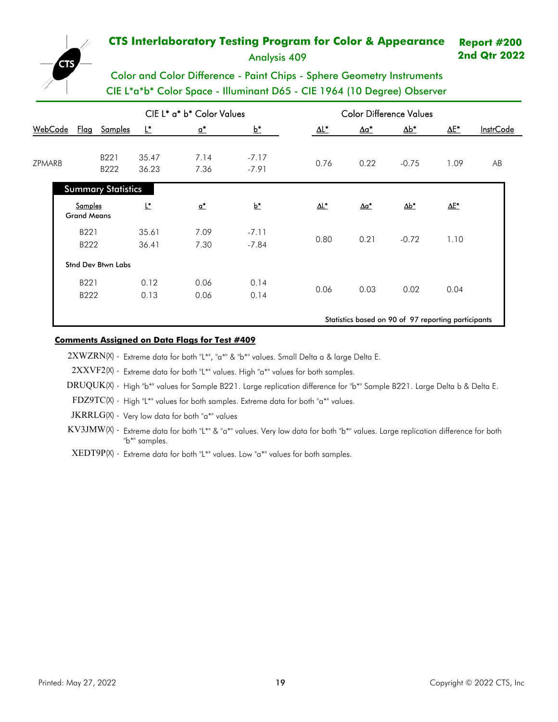Analysis 409

**2nd Qtr 2022**

# Color and Color Difference - Paint Chips - Sphere Geometry Instruments CIE L\*a\*b\* Color Space - Illuminant D65 - CIE 1964 (10 Degree) Observer

|         |                                      |                           |                | CIE L* a* b* Color Values    |                    | <b>Color Difference Values</b> |                          |                                                     |              |                  |
|---------|--------------------------------------|---------------------------|----------------|------------------------------|--------------------|--------------------------------|--------------------------|-----------------------------------------------------|--------------|------------------|
| WebCode |                                      | Flag Samples              | Ľ              | $\underline{\mathfrak{a}}^*$ | $b^*$              | $\underline{\Delta L^*}$       | $\Delta a^*$             | $\Delta b^*$                                        | $\Delta E^*$ | <b>InstrCode</b> |
| ZPMAR8  |                                      | B221<br>B222              | 35.47<br>36.23 | 7.14<br>7.36                 | $-7.17$<br>$-7.91$ | 0.76                           | 0.22                     | $-0.75$                                             | 1.09         | AB               |
|         |                                      | <b>Summary Statistics</b> |                |                              |                    |                                |                          |                                                     |              |                  |
|         | <b>Samples</b><br><b>Grand Means</b> |                           | L*             | $\underline{\mathfrak{a}}^*$ | $b^*$              | ΔL*                            | $\underline{\Delta a^*}$ | $\Delta b^*$                                        | <u>ΔΕ*</u>   |                  |
|         | B221<br>B222                         |                           | 35.61<br>36.41 | 7.09<br>7.30                 | $-7.11$<br>$-7.84$ | 0.80                           | 0.21                     | $-0.72$                                             | 1.10         |                  |
|         |                                      | <b>Stnd Dev Btwn Labs</b> |                |                              |                    |                                |                          |                                                     |              |                  |
|         | B221<br>B222                         |                           | 0.12<br>0.13   | 0.06<br>0.06                 | 0.14<br>0.14       | 0.06                           | 0.03                     | 0.02                                                | 0.04         |                  |
|         |                                      |                           |                |                              |                    |                                |                          | Statistics based on 90 of 97 reporting participants |              |                  |

### **Comments Assigned on Data Flags for Test # 409**

2XWZRN(X) - Extreme data for both "L\*", "a\*" & "b\*" values. Small Delta a & large Delta E.

2XXVF2(X) - Extreme data for both "L\*" values. High "a\*" values for both samples.

DRUQUK(X) - High "b\*" values for Sample B221. Large replication difference for "b\*" Sample B221. Large Delta b & Delta E.

FDZ9TC(X) - High "L\*" values for both samples. Extreme data for both "a\*" values.

JKRRLG(X) - Very low data for both "a\*" values

- KV3JMW(X) Extreme data for both "L\*" & "a\*" values. Very low data for both "b\*" values. Large replication difference for both "b\*" samples.
- XEDT9P(X) Extreme data for both "L\*" values. Low "a\*" values for both samples.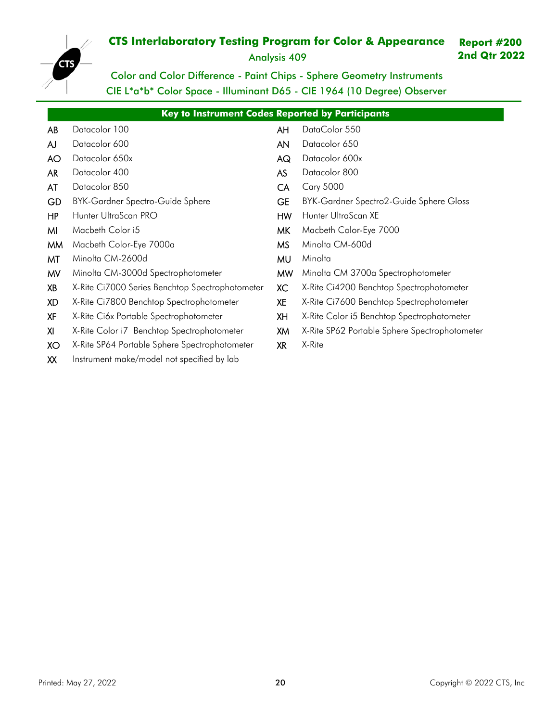Analysis 409

**2nd Qtr 2022**



Color and Color Difference - Paint Chips - Sphere Geometry Instruments CIE L\*a\*b\* Color Space - Illuminant D65 - CIE 1964 (10 Degree) Observer

|           | Key to Instrument Codes Reported by Participants |           |                                               |  |  |  |  |  |  |  |  |
|-----------|--------------------------------------------------|-----------|-----------------------------------------------|--|--|--|--|--|--|--|--|
| <b>AB</b> | Datacolor 100                                    | AH        | DataColor 550                                 |  |  |  |  |  |  |  |  |
| AJ        | Datacolor 600                                    | <b>AN</b> | Datacolor 650                                 |  |  |  |  |  |  |  |  |
| <b>AO</b> | Datacolor 650x                                   | AG        | Datacolor 600x                                |  |  |  |  |  |  |  |  |
| <b>AR</b> | Datacolor 400                                    | <b>AS</b> | Datacolor 800                                 |  |  |  |  |  |  |  |  |
| AT        | Datacolor 850                                    | <b>CA</b> | <b>Cary 5000</b>                              |  |  |  |  |  |  |  |  |
| GD        | <b>BYK-Gardner Spectro-Guide Sphere</b>          | <b>GE</b> | BYK-Gardner Spectro2-Guide Sphere Gloss       |  |  |  |  |  |  |  |  |
| HP        | Hunter UltraScan PRO                             | <b>HW</b> | Hunter UltraScan XE                           |  |  |  |  |  |  |  |  |
| MI        | Macbeth Color i5                                 | <b>MK</b> | Macbeth Color-Eye 7000                        |  |  |  |  |  |  |  |  |
| <b>MM</b> | Macbeth Color-Eye 7000a                          | <b>MS</b> | Minolta CM-600d                               |  |  |  |  |  |  |  |  |
| MT        | Minolta CM-2600d                                 | MU        | Minolta                                       |  |  |  |  |  |  |  |  |
| <b>MV</b> | Minolta CM-3000d Spectrophotometer               | <b>MW</b> | Minolta CM 3700a Spectrophotometer            |  |  |  |  |  |  |  |  |
| XB        | X-Rite Ci7000 Series Benchtop Spectrophotometer  | <b>XC</b> | X-Rite Ci4200 Benchtop Spectrophotometer      |  |  |  |  |  |  |  |  |
| <b>XD</b> | X-Rite Ci7800 Benchtop Spectrophotometer         | <b>XE</b> | X-Rite Ci7600 Benchtop Spectrophotometer      |  |  |  |  |  |  |  |  |
| <b>XF</b> | X-Rite Ci6x Portable Spectrophotometer           | XH        | X-Rite Color i5 Benchtop Spectrophotometer    |  |  |  |  |  |  |  |  |
| XI        | X-Rite Color i7 Benchtop Spectrophotometer       | XM        | X-Rite SP62 Portable Sphere Spectrophotometer |  |  |  |  |  |  |  |  |
| XO        | X-Rite SP64 Portable Sphere Spectrophotometer    | <b>XR</b> | X-Rite                                        |  |  |  |  |  |  |  |  |
| XX        | Instrument make/model not specified by lab       |           |                                               |  |  |  |  |  |  |  |  |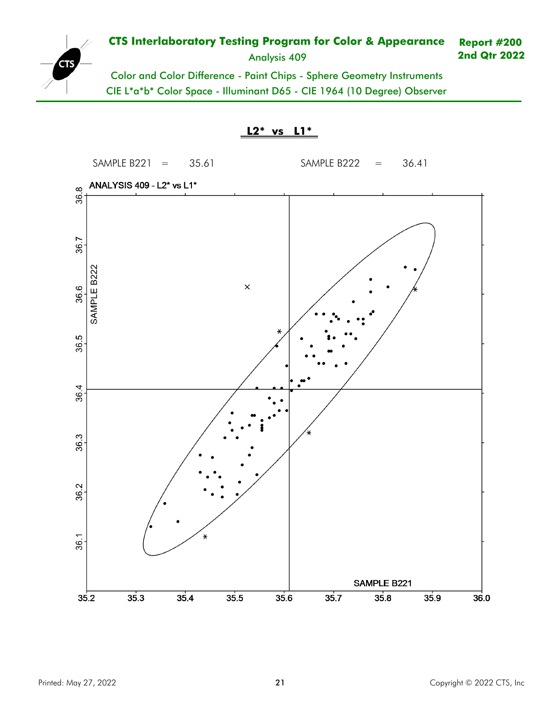

Analysis 409

**2nd Qtr 2022**

Color and Color Difference - Paint Chips - Sphere Geometry Instruments CIE L\*a\*b\* Color Space - Illuminant D65 - CIE 1964 (10 Degree) Observer

**L2\* vs L1\***

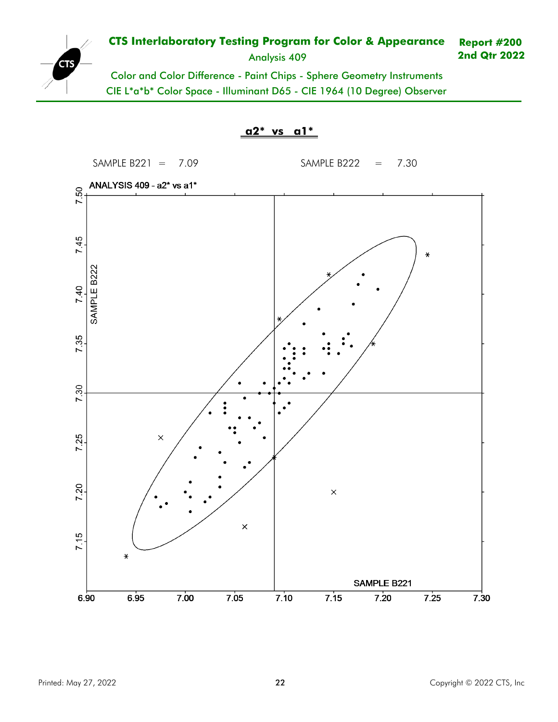

Analysis 409

**2nd Qtr 2022**

Color and Color Difference - Paint Chips - Sphere Geometry Instruments CIE L\*a\*b\* Color Space - Illuminant D65 - CIE 1964 (10 Degree) Observer

**a2\* vs a1\***

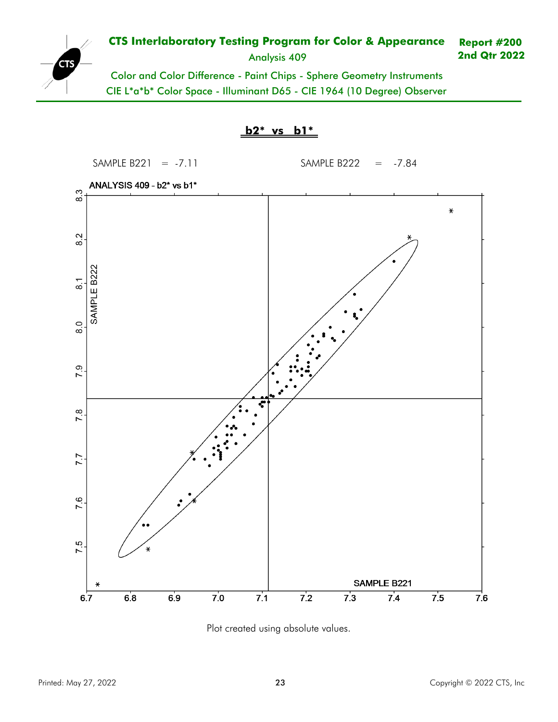

Analysis 409

**2nd Qtr 2022**

Color and Color Difference - Paint Chips - Sphere Geometry Instruments CIE L\*a\*b\* Color Space - Illuminant D65 - CIE 1964 (10 Degree) Observer





Plot created using absolute values.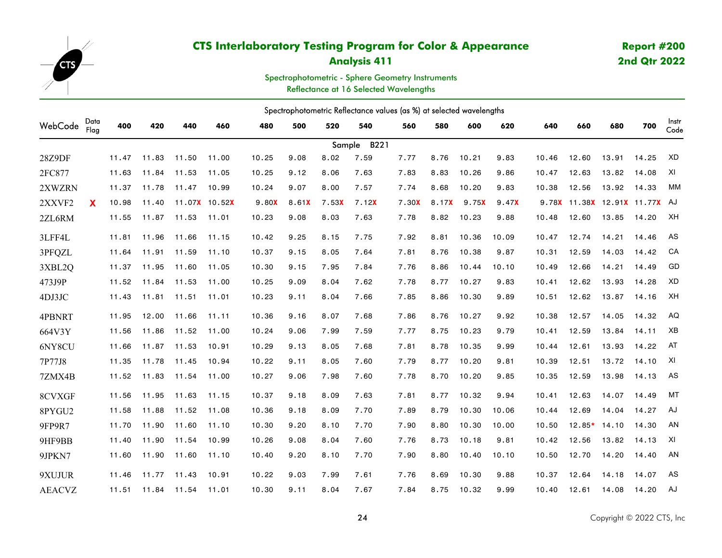<span id="page-23-0"></span>

## **Analysis 411**

# **Report #200 2nd Qtr 2022**

Spectrophotometric - Sphere Geometry Instruments Reflectance at 16 Selected Wavelengths

|               | Spectrophotometric Reflectance values (as %) at selected wavelengths |       |       |       |               |       |       |       |                |       |       |       |       |       |                               |       |       |               |
|---------------|----------------------------------------------------------------------|-------|-------|-------|---------------|-------|-------|-------|----------------|-------|-------|-------|-------|-------|-------------------------------|-------|-------|---------------|
| WebCode       | Data<br>Flag                                                         | 400   | 420   | 440   | 460           | 480   | 500   | 520   | 540            | 560   | 580   | 600   | 620   | 640   | 660                           | 680   | 700   | Instr<br>Code |
|               |                                                                      |       |       |       |               |       |       |       | B221<br>Sample |       |       |       |       |       |                               |       |       |               |
| 28Z9DF        |                                                                      | 11.47 | 11.83 | 11.50 | 11.00         | 10.25 | 9.08  | 8.02  | 7.59           | 7.77  | 8.76  | 10.21 | 9.83  | 10.46 | 12.60                         | 13.91 | 14.25 | XD            |
| 2FC877        |                                                                      | 11.63 | 11.84 | 11.53 | 11.05         | 10.25 | 9.12  | 8.06  | 7.63           | 7.83  | 8.83  | 10.26 | 9.86  | 10.47 | 12.63                         | 13.82 | 14.08 | XI            |
| 2XWZRN        |                                                                      | 11.37 | 11.78 | 11.47 | 10.99         | 10.24 | 9.07  | 8.00  | 7.57           | 7.74  | 8.68  | 10.20 | 9.83  | 10.38 | 12.56                         | 13.92 | 14.33 | МM            |
| 2XXVF2        | X                                                                    | 10.98 | 11.40 |       | 11.07X 10.52X | 9.80X | 8.61X | 7.53X | 7.12X          | 7.30X | 8.17X | 9.75X | 9.47X |       | 9.78X 11.38X 12.91X 11.77X AJ |       |       |               |
| 2ZL6RM        |                                                                      | 11.55 | 11.87 | 11.53 | 11.01         | 10.23 | 9.08  | 8.03  | 7.63           | 7.78  | 8.82  | 10.23 | 9.88  | 10.48 | 12.60                         | 13.85 | 14.20 | XH            |
| 3LFF4L        |                                                                      | 11.81 | 11.96 | 11.66 | 11.15         | 10.42 | 9.25  | 8.15  | 7.75           | 7.92  | 8.81  | 10.36 | 10.09 | 10.47 | 12.74                         | 14.21 | 14.46 | AS            |
| 3PFQZL        |                                                                      | 11.64 | 11.91 | 11.59 | 11.10         | 10.37 | 9.15  | 8.05  | 7.64           | 7.81  | 8.76  | 10.38 | 9.87  | 10.31 | 12.59                         | 14.03 | 14.42 | CA            |
| 3XBL2Q        |                                                                      | 11.37 | 11.95 | 11.60 | 11.05         | 10.30 | 9.15  | 7.95  | 7.84           | 7.76  | 8.86  | 10.44 | 10.10 | 10.49 | 12.66                         | 14.21 | 14.49 | GD            |
| 473J9P        |                                                                      | 11.52 | 11.84 | 11.53 | 11.00         | 10.25 | 9.09  | 8.04  | 7.62           | 7.78  | 8.77  | 10.27 | 9.83  | 10.41 | 12.62                         | 13.93 | 14.28 | XD            |
| 4DJ3JC        |                                                                      | 11.43 | 11.81 | 11.51 | 11.01         | 10.23 | 9.11  | 8.04  | 7.66           | 7.85  | 8.86  | 10.30 | 9.89  | 10.51 | 12.62                         | 13.87 | 14.16 | XH            |
| 4PBNRT        |                                                                      | 11.95 | 12,00 | 11.66 | 11.11         | 10.36 | 9.16  | 8.07  | 7.68           | 7.86  | 8.76  | 10.27 | 9.92  | 10.38 | 12.57                         | 14.05 | 14.32 | AQ            |
| 664V3Y        |                                                                      | 11.56 | 11.86 | 11.52 | 11.00         | 10.24 | 9.06  | 7.99  | 7.59           | 7.77  | 8.75  | 10.23 | 9.79  | 10.41 | 12.59                         | 13.84 | 14.11 | XB            |
| 6NY8CU        |                                                                      | 11.66 | 11.87 | 11.53 | 10.91         | 10.29 | 9.13  | 8.05  | 7.68           | 7.81  | 8.78  | 10.35 | 9.99  | 10.44 | 12.61                         | 13.93 | 14.22 | AT            |
| 7P77J8        |                                                                      | 11.35 | 11.78 | 11.45 | 10.94         | 10.22 | 9.11  | 8.05  | 7.60           | 7.79  | 8.77  | 10.20 | 9.81  | 10.39 | 12.51                         | 13.72 | 14.10 | XI            |
| 7ZMX4B        |                                                                      | 11.52 | 11.83 | 11.54 | 11.00         | 10.27 | 9.06  | 7.98  | 7.60           | 7.78  | 8.70  | 10.20 | 9.85  | 10.35 | 12.59                         | 13.98 | 14.13 | AS            |
| 8CVXGF        |                                                                      | 11.56 | 11.95 | 11.63 | 11.15         | 10.37 | 9.18  | 8,09  | 7.63           | 7.81  | 8.77  | 10.32 | 9.94  | 10.41 | 12.63                         | 14.07 | 14.49 | <b>MT</b>     |
| 8PYGU2        |                                                                      | 11.58 | 11,88 | 11.52 | 11.08         | 10.36 | 9.18  | 8.09  | 7.70           | 7.89  | 8.79  | 10,30 | 10.06 | 10.44 | 12.69                         | 14.04 | 14.27 | AJ            |
| 9FP9R7        |                                                                      | 11.70 | 11.90 | 11.60 | 11.10         | 10.30 | 9.20  | 8.10  | 7.70           | 7.90  | 8.80  | 10.30 | 10.00 | 10.50 | $12.85*$                      | 14.10 | 14.30 | AN            |
| 9HF9BB        |                                                                      | 11.40 | 11.90 | 11.54 | 10.99         | 10.26 | 9.08  | 8.04  | 7.60           | 7.76  | 8.73  | 10.18 | 9.81  | 10.42 | 12.56                         | 13.82 | 14.13 | XI            |
| 9JPKN7        |                                                                      | 11.60 | 11.90 | 11.60 | 11.10         | 10.40 | 9.20  | 8.10  | 7.70           | 7.90  | 8.80  | 10.40 | 10.10 | 10.50 | 12.70                         | 14.20 | 14.40 | AN            |
| 9XUJUR        |                                                                      | 11.46 | 11.77 | 11.43 | 10.91         | 10.22 | 9.03  | 7.99  | 7.61           | 7.76  | 8.69  | 10.30 | 9.88  | 10.37 | 12.64                         | 14.18 | 14.07 | AS            |
| <b>AEACVZ</b> |                                                                      | 11.51 | 11.84 | 11.54 | 11.01         | 10.30 | 9.11  | 8.04  | 7.67           | 7.84  | 8.75  | 10.32 | 9.99  | 10.40 | 12.61                         | 14.08 | 14.20 | AJ            |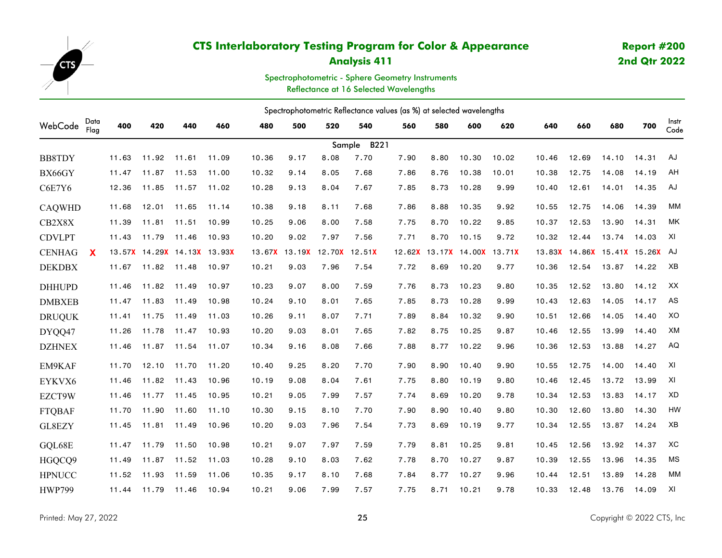

## **Analysis 411**

# **Report #200 2nd Qtr 2022**

Spectrophotometric - Sphere Geometry Instruments Reflectance at 16 Selected Wavelengths

Spectrophotometric Reflectance values (as %) at selected wavelengths WebCode Data Flag Sample B221 Instr Code400 420 440 460 480 500 520 540 560 580 600 620 640 660 680 700 <sub>Cod</sub> **BB8TDY**  11.63 11.92 11.61 11.09 10.36 9.17 8.08 7.70 7.90 8.80 10.30 10.02 10.46 12.69 14.10 14.31 AJ BX66GY 11.47 11.87 11.53 11.00 10.32 9.14 8.05 7.68 7.86 8.76 10.38 10.01 10.38 12.75 14.08 14.19 AH C6E7Y6 12.36 11.85 11.57 11.02 10.28 9.13 8.04 7.67 7.85 8.73 10.28 9.99 10.40 12.61 14.01 14.35 AJ CAQWHD 11.68 12.01 11.65 11.14 10.38 9.18 8.11 7.68 7.86 8.88 10.35 9.92 10.55 12.75 14.06 14.39 MM CB2X8X $\rm X$  11.39 11.81 11.51 10.99 10.25 9.06 8.00 7.58 7.75 8.70 10.22 9.85 10.37 12.53 13.90 14.31 MK CDVLPT 11.43 11.79 11.46 10.93 10.20 9.02 7.97 7.56 7.71 8.70 10.15 9.72 10.32 12.44 13.74 14.03 XI CENHAG **X**13.57 14.29 14.13 13.93 13.93 13.67 13.19 12.70 12.51 12.62 13.17 14.00 13.71 13.83 14.86 15.41 15.26 AJ DEKDBX $\mathrm{X}$  11.67 11.82 11.48 10.97 10.21 9.03 7.96 7.54 7.72 8.69 10.20 9.77 10.36 12.54 13.87 14.22  $\mathsf{X}\mathsf{B}$ DHHUPD 11.46 11.82 11.49 10.97 10.23 9.07 8.00 7.59 7.76 8.73 10.23 9.80 10.35 12.52 13.80 14.12 XX DMBXEB 11.47 11.83 11.49 10.98 10.24 9.10 8.01 7.65 7.85 8.73 10.28 9.99 10.43 12.63 14.05 14.17 AS DRUQUK 11.41 11.75 11.49 11.03 10.26 9.11 8.07 7.71 7.89 8.84 10.32 9.90 10.51 12.66 14.05 14.40 XO DYQQ47 11.26 11.78 11.47 10.93 10.20 9.03 8.01 7.65 7.82 8.75 10.25 9.87 10.46 12.55 13.99 14.40 XM **DZHNEX**  $\rm X$  11.46 11.87 11.54 11.07 10.34 9.16 8.08 7.66 7.88 8.77 10.22 9.96 10.36 12.53 13.88 14.27 AQ EM9KAF 11.70 12.10 11.70 11.20 10.40 9.25 8.20 7.70 7.90 8.90 10.40 9.90 10.55 12.75 14.00 14.40 XI EYKVX6 11.46 11.82 11.43 10.96 10.19 9.08 8.04 7.61 7.75 8.80 10.19 9.80 10.46 12.45 13.72 13.99 XI EZCT9W 11.46 11.77 11.45 10.95 10.21 9.05 7.99 7.57 7.74 8.69 10.20 9.78 10.34 12.53 13.83 14.17 XD FTQBAF 11.70 11.90 11.60 11.10 10.30 9.15 8.10 7.70 7.90 8.90 10.40 9.80 10.30 12.60 13.80 14.30 HW GL8EZY 11.45 11.81 11.49 10.96 10.20 9.03 7.96 7.54 7.73 8.69 10.19 9.77 10.34 12.55 13.87 14.24 XB GQL68E 11.47 11.79 11.50 10.98 10.21 9.07 7.97 7.59 7.79 8.81 10.25 9.81 10.45 12.56 13.92 14.37 XC HGQCQ9 11.49 11.87 11.52 11.03 10.28 9.10 8.03 7.62 7.78 8.70 10.27 9.87 10.39 12.55 13.96 14.35 MS **HPNUCC**  $\rm C$  11.52 11.93 11.59 11.06 10.35 9.17 8.10 7.68 7.84 8.77 10.27 9.96 10.44 12.51 13.89 14.28 MM HWP79911.44 11.79 11.46 10.94 10.21 9.06 7.99 7.57 7.75 8.71 10.21 9.78 10.33 12.48 13.76 14.09 XI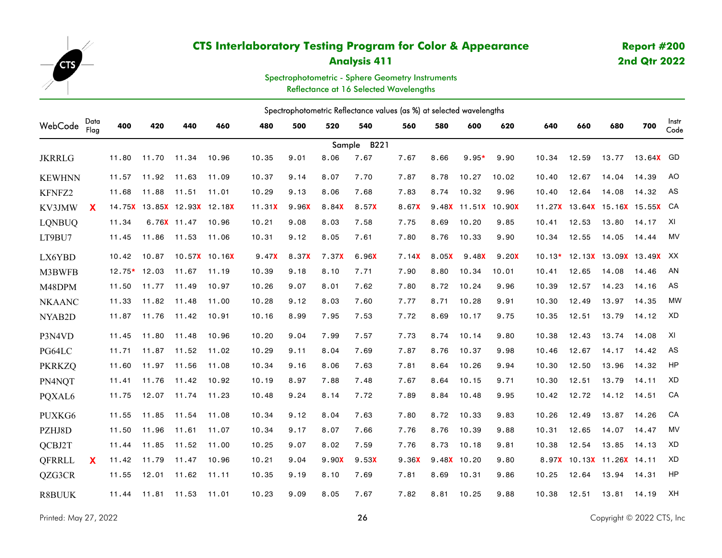

## **Analysis 411**

# **Report #200 2nd Qtr 2022**

Spectrophotometric - Sphere Geometry Instruments Reflectance at 16 Selected Wavelengths

| Spectrophotometric Reflectance values (as %) at selected wavelengths |              |                |             |                                |               |        |                   |       |             |       |                     |              |        |       |       |                                |                         |               |
|----------------------------------------------------------------------|--------------|----------------|-------------|--------------------------------|---------------|--------|-------------------|-------|-------------|-------|---------------------|--------------|--------|-------|-------|--------------------------------|-------------------------|---------------|
| WebCode                                                              | Data<br>Flag | 400            | 420         | 440                            | 460           | 480    | 500               | 520   | 540         | 560   | 580                 | 600          | 620    | 640   | 660   | 680                            | 700                     | Instr<br>Code |
|                                                                      |              |                |             |                                |               |        |                   |       | Sample B221 |       |                     |              |        |       |       |                                |                         |               |
| <b>JKRRLG</b>                                                        |              | 11.80          | 11.70       | 11.34                          | 10.96         | 10.35  | 9.01              | 8.06  | 7.67        | 7.67  | 8.66                | $9.95*$      | 9.90   | 10.34 | 12.59 | 13.77                          | 13.64 <mark>X</mark> GD |               |
| <b>KEWHNN</b>                                                        |              | 11.57          | 11.92 11.63 |                                | 11.09         | 10.37  | 9.14              | 8.07  | 7.70        | 7.87  | 8.78                | 10.27        | 10.02  | 10.40 | 12.67 | 14.04                          | 14.39                   | AO            |
| KFNFZ2                                                               |              | 11.68          | 11.88       | 11.51                          | 11.01         | 10.29  | 9.13              | 8.06  | 7.68        | 7.83  | 8.74                | 10.32        | 9.96   | 10.40 | 12.64 | 14.08                          | 14.32                   | AS            |
| KV3JMW                                                               | X            |                |             | 14.75X  13.85X  12.93X  12.18X |               | 11.31X | 9.96 <sup>X</sup> | 8.84X | 8.57X       | 8.67X |                     | 9.48X 11.51X | 10.90X |       |       | 11.27X 13.64X 15.16X 15.55X CA |                         |               |
| <b>LONBUQ</b>                                                        |              | 11.34          |             | 6.76X 11.47                    | 10.96         | 10.21  | 9.08              | 8.03  | 7.58        | 7.75  | 8.69                | 10.20        | 9.85   | 10.41 | 12.53 | 13.80                          | 14.17                   | XI            |
| LT9BU7                                                               |              | 11.45          | 11.86       | 11.53                          | 11.06         | 10.31  | 9.12              | 8.05  | 7.61        | 7.80  | 8.76                | 10.33        | 9.90   | 10.34 | 12.55 | 14.05                          | 14.44                   | MV            |
| LX6YBD                                                               |              | 10.42          | 10.87       |                                | 10.57X 10.16X | 9.47X  | 8.37X             | 7.37X | 6.96X       | 7.14X | 8.05 <mark>X</mark> | 9.48X        | 9.20X  |       |       | 10.13* 12.13X 13.09X 13.49X XX |                         |               |
| M3BWFB                                                               |              | $12.75*$ 12.03 |             | 11.67                          | 11.19         | 10.39  | 9.18              | 8.10  | 7.71        | 7.90  | 8,80                | 10.34        | 10.01  | 10.41 | 12.65 | 14.08                          | 14.46                   | AN            |
| M48DPM                                                               |              | 11.50          | 11.77       | 11.49                          | 10.97         | 10.26  | 9.07              | 8.01  | 7.62        | 7.80  | 8.72                | 10.24        | 9.96   | 10.39 | 12.57 | 14.23                          | 14.16                   | AS            |
| <b>NKAANC</b>                                                        |              | 11.33          | 11.82       | 11.48                          | 11.00         | 10.28  | 9.12              | 8.03  | 7.60        | 7.77  | 8.71                | 10.28        | 9.91   | 10.30 | 12.49 | 13.97                          | 14.35                   | <b>MW</b>     |
| NYAB2D                                                               |              | 11.87          | 11.76       | 11.42                          | 10.91         | 10.16  | 8.99              | 7.95  | 7.53        | 7.72  | 8.69                | 10.17        | 9.75   | 10.35 | 12.51 | 13.79                          | 14.12                   | XD            |
| P3N4VD                                                               |              | 11.45          | 11.80       | 11.48                          | 10.96         | 10.20  | 9.04              | 7.99  | 7.57        | 7.73  | 8.74                | 10.14        | 9.80   | 10.38 | 12.43 | 13.74                          | 14.08                   | XI            |
| PG64LC                                                               |              | 11.71          | 11.87       | 11.52                          | 11.02         | 10.29  | 9.11              | 8.04  | 7.69        | 7.87  | 8.76                | 10.37        | 9.98   | 10.46 | 12.67 | 14.17                          | 14.42                   | AS            |
| <b>PKRKZQ</b>                                                        |              | 11.60          | 11.97       | 11.56                          | 11.08         | 10.34  | 9.16              | 8.06  | 7.63        | 7.81  | 8.64                | 10.26        | 9.94   | 10.30 | 12.50 | 13.96                          | 14.32                   | HP            |
| PN4NQT                                                               |              | 11.41          | 11.76       | 11.42                          | 10.92         | 10.19  | 8.97              | 7.88  | 7.48        | 7.67  | 8.64                | 10.15        | 9.71   | 10.30 | 12.51 | 13.79                          | 14.11                   | XD            |
| PQXAL6                                                               |              | 11.75          | 12.07       | 11.74                          | 11.23         | 10.48  | 9.24              | 8.14  | 7.72        | 7.89  | 8.84                | 10.48        | 9.95   | 10.42 | 12.72 | 14.12                          | 14.51                   | CA            |
| PUXKG6                                                               |              | 11.55          | 11.85       | 11.54                          | 11.08         | 10.34  | 9.12              | 8.04  | 7.63        | 7.80  | 8.72                | 10.33        | 9.83   | 10.26 | 12.49 | 13.87                          | 14.26                   | CA            |
| PZHJ8D                                                               |              | 11.50          | 11.96       | 11.61                          | 11.07         | 10.34  | 9.17              | 8.07  | 7.66        | 7.76  | 8.76                | 10.39        | 9.88   | 10.31 | 12.65 | 14.07                          | 14.47                   | <b>MV</b>     |
| QCBJ2T                                                               |              | 11.44          | 11.85       | 11.52                          | 11.00         | 10.25  | 9.07              | 8.02  | 7.59        | 7.76  | 8.73                | 10.18        | 9.81   | 10.38 | 12.54 | 13.85                          | 14.13                   | XD            |
| QFRRLL                                                               | <b>X</b>     | 11.42          | 11.79       | 11.47                          | 10.96         | 10.21  | 9.04              | 9.90X | 9.53X       | 9.36X |                     | 9.48X 10.20  | 9.80   |       |       | 8.97X 10.13X 11.26X 14.11      |                         | XD            |
| QZG3CR                                                               |              | 11.55          | 12.01       | 11.62                          | 11.11         | 10.35  | 9.19              | 8.10  | 7.69        | 7.81  | 8.69                | 10.31        | 9.86   | 10.25 | 12.64 | 13.94                          | 14.31                   | HP            |
| <b>R8BUUK</b>                                                        |              | 11.44          | 11.81       | 11.53                          | 11.01         | 10.23  | 9.09              | 8.05  | 7.67        | 7.82  | 8.81                | 10.25        | 9.88   | 10.38 | 12.51 | 13.81                          | 14.19                   | XH            |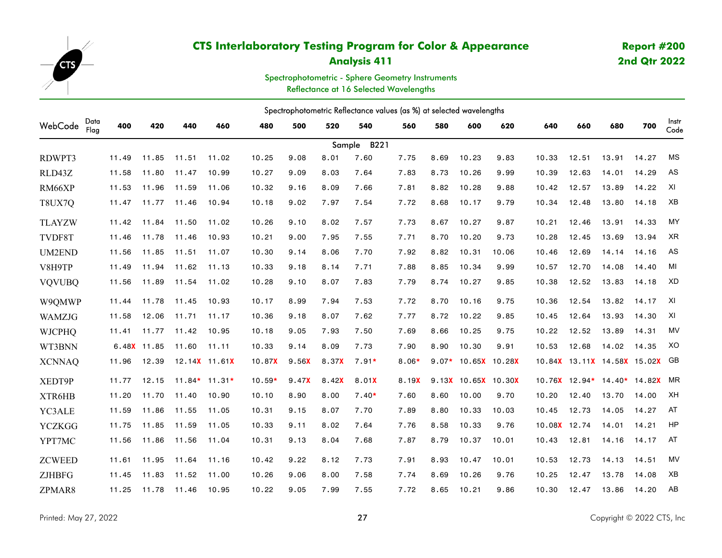

## **Analysis 411**

# **Report #200 2nd Qtr 2022**

Spectrophotometric - Sphere Geometry Instruments Reflectance at 16 Selected Wavelengths

|               | Spectrophotometric Reflectance values (as %) at selected wavelengths |       |             |       |                 |          |       |       |                |         |      |                     |       |              |                                |       |       |               |
|---------------|----------------------------------------------------------------------|-------|-------------|-------|-----------------|----------|-------|-------|----------------|---------|------|---------------------|-------|--------------|--------------------------------|-------|-------|---------------|
| WebCode       | Data<br>Flag                                                         | 400   | 420         | 440   | 460             | 480      | 500   | 520   | 540            | 560     | 580  | 600                 | 620   | 640          | 660                            | 680   | 700   | Instr<br>Code |
|               |                                                                      |       |             |       |                 |          |       |       | Sample<br>B221 |         |      |                     |       |              |                                |       |       |               |
| RDWPT3        |                                                                      | 11.49 | 11.85       | 11.51 | 11.02           | 10.25    | 9.08  | 8.01  | 7.60           | 7.75    | 8.69 | 10.23               | 9.83  | 10.33        | 12.51                          | 13.91 | 14.27 | <b>MS</b>     |
| RLD43Z        |                                                                      | 11.58 | 11.80       | 11.47 | 10.99           | 10.27    | 9.09  | 8.03  | 7.64           | 7.83    | 8.73 | 10.26               | 9.99  | 10.39        | 12.63                          | 14.01 | 14.29 | AS            |
| RM66XP        |                                                                      | 11.53 | 11.96       | 11.59 | 11.06           | 10.32    | 9.16  | 8.09  | 7.66           | 7.81    | 8.82 | 10.28               | 9.88  | 10.42        | 12.57                          | 13.89 | 14.22 | XI            |
| T8UX7Q        |                                                                      | 11.47 | 11.77       | 11.46 | 10.94           | 10.18    | 9.02  | 7.97  | 7.54           | 7.72    | 8.68 | 10.17               | 9.79  | 10.34        | 12.48                          | 13.80 | 14.18 | XB            |
| <b>TLAYZW</b> |                                                                      | 11.42 | 11.84       | 11.50 | 11.02           | 10.26    | 9.10  | 8.02  | 7.57           | 7.73    | 8.67 | 10.27               | 9.87  | 10.21        | 12.46                          | 13.91 | 14.33 | <b>MY</b>     |
| TVDF8T        |                                                                      | 11.46 | 11.78       | 11.46 | 10.93           | 10.21    | 9.00  | 7.95  | 7.55           | 7.71    | 8.70 | 10.20               | 9.73  | 10.28        | 12.45                          | 13.69 | 13.94 | <b>XR</b>     |
| <b>UM2END</b> |                                                                      | 11.56 | 11.85       | 11.51 | 11.07           | 10.30    | 9.14  | 8,06  | 7.70           | 7.92    | 8.82 | 10.31               | 10.06 | 10.46        | 12.69                          | 14.14 | 14.16 | AS            |
| V8H9TP        |                                                                      | 11.49 | 11.94       | 11.62 | 11.13           | 10.33    | 9.18  | 8.14  | 7.71           | 7.88    | 8.85 | 10.34               | 9.99  | 10.57        | 12.70                          | 14.08 | 14.40 | MI            |
| <b>VQVUBQ</b> |                                                                      | 11.56 | 11.89       | 11.54 | 11.02           | 10.28    | 9.10  | 8.07  | 7.83           | 7.79    | 8.74 | 10.27               | 9.85  | 10.38        | 12.52                          | 13.83 | 14.18 | XD            |
| W9QMWP        |                                                                      | 11.44 | 11.78       | 11.45 | 10.93           | 10.17    | 8.99  | 7.94  | 7.53           | 7.72    | 8.70 | 10.16               | 9.75  | 10.36        | 12.54                          | 13.82 | 14.17 | XI            |
| WAMZJG        |                                                                      | 11.58 | 12,06       | 11.71 | 11.17           | 10.36    | 9.18  | 8.07  | 7.62           | 7.77    | 8.72 | 10.22               | 9.85  | 10.45        | 12.64                          | 13.93 | 14.30 | XI            |
| <b>WJCPHQ</b> |                                                                      | 11.41 | 11.77       | 11.42 | 10.95           | 10.18    | 9.05  | 7.93  | 7.50           | 7.69    | 8.66 | 10.25               | 9.75  | 10.22        | 12.52                          | 13.89 | 14.31 | <b>MV</b>     |
| WT3BNN        |                                                                      |       | 6.48X 11.85 | 11.60 | 11.11           | 10.33    | 9.14  | 8.09  | 7.73           | 7.90    | 8.90 | 10.30               | 9.91  | 10.53        | 12.68                          | 14.02 | 14.35 | XO            |
| <b>XCNNAQ</b> |                                                                      | 11.96 | 12.39       |       | 12.14X 11.61X   | 10.87X   | 9.56X | 8.37X | $7.91*$        | $8.06*$ |      | 9.07* 10.65X 10.28X |       |              | 10.84X  13.11X  14.58X  15.02X |       |       | GB            |
| XEDT9P        |                                                                      | 11.77 | 12.15       |       | $11.84*$ 11.31* | $10.59*$ | 9.47X | 8.42X | 8.01X          | 8.19X   |      | 9.13X 10.65X 10.30X |       |              | 10.76X 12.94* 14.40* 14.82X    |       |       | <b>MR</b>     |
| XTR6HB        |                                                                      | 11.20 | 11.70       | 11.40 | 10.90           | 10.10    | 8.90  | 8,00  | $7.40*$        | 7.60    | 8.60 | 10.00               | 9.70  | 10.20        | 12.40                          | 13.70 | 14.00 | XH            |
| YC3ALE        |                                                                      | 11.59 | 11.86       | 11.55 | 11.05           | 10.31    | 9.15  | 8.07  | 7.70           | 7.89    | 8.80 | 10.33               | 10.03 | 10.45        | 12.73                          | 14.05 | 14.27 | AT            |
| <b>YCZKGG</b> |                                                                      | 11.75 | 11.85       | 11.59 | 11.05           | 10.33    | 9.11  | 8.02  | 7.64           | 7.76    | 8.58 | 10.33               | 9.76  | 10.08X 12.74 |                                | 14.01 | 14.21 | HP            |
| YPT7MC        |                                                                      | 11.56 | 11.86       | 11.56 | 11.04           | 10.31    | 9.13  | 8.04  | 7.68           | 7.87    | 8.79 | 10.37               | 10.01 | 10.43        | 12.81                          | 14.16 | 14.17 | AT            |
| <b>ZCWEED</b> |                                                                      | 11.61 | 11.95       | 11.64 | 11.16           | 10.42    | 9.22  | 8.12  | 7.73           | 7.91    | 8.93 | 10.47               | 10.01 | 10.53        | 12.73                          | 14.13 | 14.51 | <b>MV</b>     |
| <b>ZJHBFG</b> |                                                                      | 11.45 | 11.83       | 11.52 | 11.00           | 10.26    | 9.06  | 8,00  | 7.58           | 7.74    | 8.69 | 10.26               | 9.76  | 10.25        | 12.47                          | 13.78 | 14.08 | XB            |
| ZPMAR8        |                                                                      | 11.25 | 11.78       | 11.46 | 10.95           | 10.22    | 9.05  | 7.99  | 7.55           | 7.72    | 8.65 | 10.21               | 9.86  | 10.30        | 12.47                          | 13.86 | 14.20 | AB            |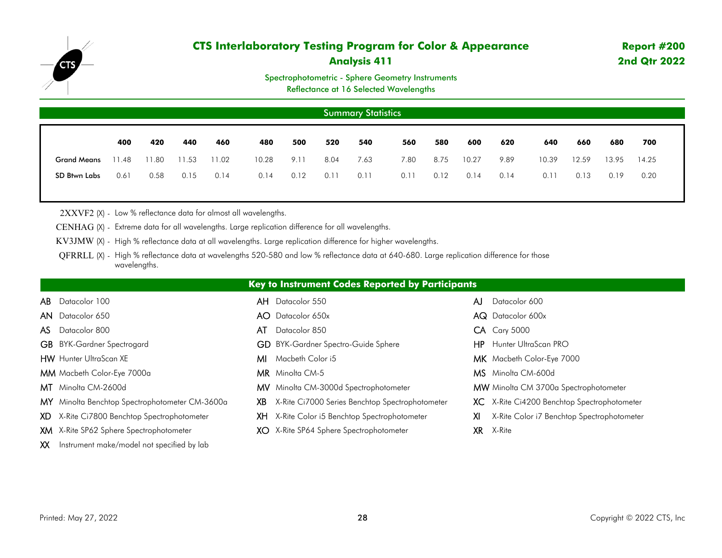

## **Analysis 411**

### Spectrophotometric - Sphere Geometry Instruments

Reflectance at 16 Selected Wavelengths

|                    | <b>Summary Statistics</b> |       |       |       |       |      |      |      |      |      |       |      |       |       |       |       |  |
|--------------------|---------------------------|-------|-------|-------|-------|------|------|------|------|------|-------|------|-------|-------|-------|-------|--|
|                    | 400                       | 420   | 440   | 460   | 480   | 500  | 520  | 540  | 560  | 580  | 600   | 620  | 640   | 660   | 680   | 700   |  |
| <b>Grand Means</b> | 11.48                     | 11.80 | 11.53 | 11.02 | 10.28 | 9.11 | 8.04 | 7.63 | 7.80 | 8.75 | 10.27 | 9.89 | 10.39 | 12.59 | 13.95 | 14.25 |  |
| SD Btwn Labs       | 0.61                      | 0.58  | 0.15  | 0.14  | 0.14  | 0.12 | 0.11 | 0.11 | 0.11 | 0.12 | 0.14  | 0.14 | 0.11  | 0.13  | 0.19  | 0.20  |  |
|                    |                           |       |       |       |       |      |      |      |      |      |       |      |       |       |       |       |  |

2XXVF2 (X) - Low % reflectance data for almost all wavelengths.

CENHAG (X) - Extreme data for all wavelengths. Large replication difference for all wavelengths.

KV3JMW (X) - High % reflectance data at all wavelengths. Large replication difference for higher wavelengths.

QFRRLL (X) - High % reflectance data at wavelengths 520-580 and low % reflectance data at 640-680. Large replication difference for those wavelengths.

|                                                   | <b>Key to Instrument Codes Reported by Participants</b> |                                                  |  |  |  |  |  |  |  |  |  |
|---------------------------------------------------|---------------------------------------------------------|--------------------------------------------------|--|--|--|--|--|--|--|--|--|
| <b>AB</b> Datacolor 100                           | <b>AH</b> Datacolor 550                                 | Datacolor 600<br>AJ                              |  |  |  |  |  |  |  |  |  |
| <b>AN</b> Datacolor 650                           | <b>AO</b> Datacolor 650x                                | <b>AQ</b> Datacolor 600x                         |  |  |  |  |  |  |  |  |  |
| AS Datacolor 800                                  | Datacolor 850<br>AT                                     | <b>CA</b> Cary 5000                              |  |  |  |  |  |  |  |  |  |
| <b>GB</b> BYK-Gardner Spectrogard                 | <b>GD</b> BYK-Gardner Spectro-Guide Sphere              | Hunter UltraScan PRO<br>HP.                      |  |  |  |  |  |  |  |  |  |
| <b>HW</b> Hunter UltraScan XE                     | <b>MI</b> Macbeth Color i5                              | MK Macbeth Color-Eye 7000                        |  |  |  |  |  |  |  |  |  |
| <b>MM</b> Macbeth Color-Eye 7000a                 | <b>MR</b> Minolta CM-5                                  | MS Minolta CM-600d                               |  |  |  |  |  |  |  |  |  |
| MT Minolta CM-2600d                               | MV Minolta CM-3000d Spectrophotometer                   | MW Minolta CM 3700a Spectrophotometer            |  |  |  |  |  |  |  |  |  |
| MY Minolta Benchtop Spectrophotometer CM-3600a    | X-Rite Ci7000 Series Benchtop Spectrophotometer<br>XB.  | XC X-Rite Ci4200 Benchtop Spectrophotometer      |  |  |  |  |  |  |  |  |  |
| XD X-Rite Ci7800 Benchtop Spectrophotometer       | XH X-Rite Color i5 Benchtop Spectrophotometer           | X-Rite Color i7 Benchtop Spectrophotometer<br>XI |  |  |  |  |  |  |  |  |  |
| <b>XM</b> X-Rite SP62 Sphere Spectrophotometer    | XO X-Rite SP64 Sphere Spectrophotometer                 | X-Rite<br>XR.                                    |  |  |  |  |  |  |  |  |  |
| Instrument make/model not specified by lab<br>XX. |                                                         |                                                  |  |  |  |  |  |  |  |  |  |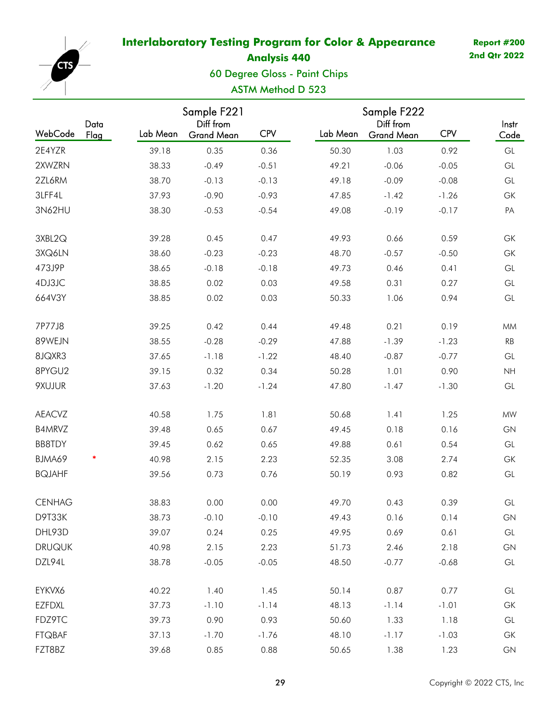<span id="page-28-0"></span>

**Analysis 440**

60 Degree Gloss - Paint Chips

# ASTM Method D 523

|               |              |          | Sample F221                    |            | Sample F222 |                                |            |                                   |
|---------------|--------------|----------|--------------------------------|------------|-------------|--------------------------------|------------|-----------------------------------|
| WebCode       | Data<br>Flag | Lab Mean | Diff from<br><b>Grand Mean</b> | <b>CPV</b> | Lab Mean    | Diff from<br><b>Grand Mean</b> | <b>CPV</b> | Instr<br>Code                     |
| 2E4YZR        |              | 39.18    | 0.35                           | 0.36       | 50.30       | 1.03                           | 0.92       | GL                                |
| 2XWZRN        |              | 38.33    | $-0.49$                        | $-0.51$    | 49.21       | $-0.06$                        | $-0.05$    | GL                                |
| 2ZL6RM        |              | 38.70    | $-0.13$                        | $-0.13$    | 49.18       | $-0.09$                        | $-0.08$    | GL                                |
| 3LFF4L        |              | 37.93    | $-0.90$                        | $-0.93$    | 47.85       | $-1.42$                        | $-1.26$    | GK                                |
| 3N62HU        |              | 38.30    | $-0.53$                        | $-0.54$    | 49.08       | $-0.19$                        | $-0.17$    | PA                                |
| 3XBL2Q        |              | 39.28    | 0.45                           | 0.47       | 49.93       | 0.66                           | 0.59       | GK                                |
| 3XQ6LN        |              | 38.60    | $-0.23$                        | $-0.23$    | 48.70       | $-0.57$                        | $-0.50$    | GK                                |
| 473J9P        |              | 38.65    | $-0.18$                        | $-0.18$    | 49.73       | 0.46                           | 0.41       | GL                                |
| 4DJ3JC        |              | 38.85    | 0.02                           | 0.03       | 49.58       | 0.31                           | 0.27       | GL                                |
| 664V3Y        |              | 38.85    | 0.02                           | 0.03       | 50.33       | 1.06                           | 0.94       | $\mathop{\rm GL}\nolimits$        |
| 7P77J8        |              | 39.25    | 0.42                           | 0.44       | 49.48       | 0.21                           | 0.19       | <b>MM</b>                         |
| 89WEJN        |              | 38.55    | $-0.28$                        | $-0.29$    | 47.88       | $-1.39$                        | $-1.23$    | RB                                |
| 8JQXR3        |              | 37.65    | $-1.18$                        | $-1.22$    | 48.40       | $-0.87$                        | $-0.77$    | GL                                |
| 8PYGU2        |              | 39.15    | 0.32                           | 0.34       | 50.28       | 1.01                           | 0.90       | NH                                |
| 9XUJUR        |              | 37.63    | $-1.20$                        | $-1.24$    | 47.80       | $-1.47$                        | $-1.30$    | GL                                |
| <b>AEACVZ</b> |              | 40.58    | 1.75                           | 1.81       | 50.68       | 1.41                           | 1.25       | <b>MW</b>                         |
| B4MRVZ        |              | 39.48    | 0.65                           | 0.67       | 49.45       | 0.18                           | 0.16       | GN                                |
| <b>BB8TDY</b> |              | 39.45    | 0.62                           | 0.65       | 49.88       | 0.61                           | 0.54       | GL                                |
| BJMA69        | *            | 40.98    | 2.15                           | 2.23       | 52.35       | 3.08                           | 2.74       | GK                                |
| <b>BQJAHF</b> |              | 39.56    | 0.73                           | 0.76       | 50.19       | 0.93                           | 0.82       | GL                                |
| <b>CENHAG</b> |              | 38.83    | 0.00                           | 0.00       | 49.70       | 0.43                           | 0.39       | GL                                |
| D9T33K        |              | 38.73    | $-0.10$                        | $-0.10$    | 49.43       | 0.16                           | 0.14       | GN                                |
| DHL93D        |              | 39.07    | 0.24                           | 0.25       | 49.95       | 0.69                           | 0.61       | $\mathsf{GL}% _{k}(G,\mathbb{R})$ |
| <b>DRUQUK</b> |              | 40.98    | 2.15                           | 2.23       | 51.73       | 2.46                           | 2.18       | ${\sf GN}$                        |
| DZL94L        |              | 38.78    | $-0.05$                        | $-0.05$    | 48.50       | $-0.77$                        | $-0.68$    | GL                                |
| EYKVX6        |              | 40.22    | 1.40                           | 1.45       | 50.14       | 0.87                           | 0.77       | GL                                |
| <b>EZFDXL</b> |              | 37.73    | $-1.10$                        | $-1.14$    | 48.13       | $-1.14$                        | $-1.01$    | GK                                |
| FDZ9TC        |              | 39.73    | 0.90                           | 0.93       | 50.60       | 1.33                           | 1.18       | GL                                |
| <b>FTQBAF</b> |              | 37.13    | $-1.70$                        | $-1.76$    | 48.10       | $-1.17$                        | $-1.03$    | GK                                |
| FZT8BZ        |              | 39.68    | 0.85                           | 0.88       | 50.65       | 1.38                           | 1.23       | GN                                |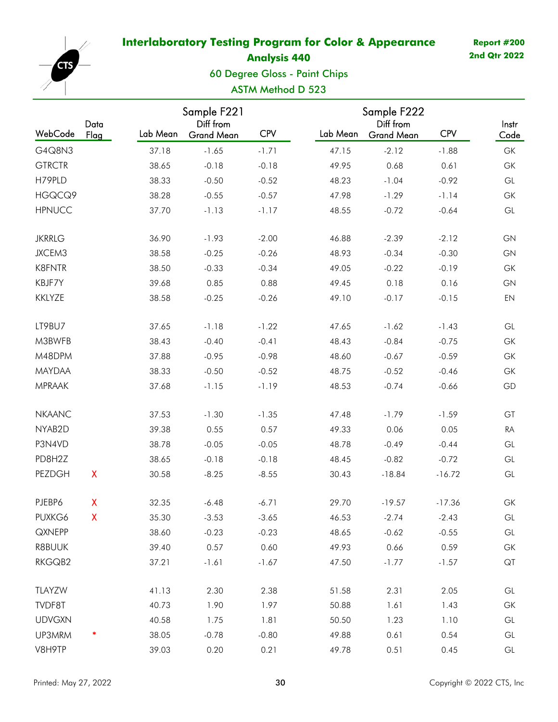

**Analysis 440**

60 Degree Gloss - Paint Chips

# ASTM Method D 523

|               |                           |          | Sample F221                    |            | Sample F222 |                                |            |                                   |
|---------------|---------------------------|----------|--------------------------------|------------|-------------|--------------------------------|------------|-----------------------------------|
| WebCode       | Data<br>Flag              | Lab Mean | Diff from<br><b>Grand Mean</b> | <b>CPV</b> | Lab Mean    | Diff from<br><b>Grand Mean</b> | <b>CPV</b> | Instr<br>Code                     |
| G4Q8N3        |                           | 37.18    | $-1.65$                        | $-1.71$    | 47.15       | $-2.12$                        | $-1.88$    | GK                                |
| <b>GTRCTR</b> |                           | 38.65    | $-0.18$                        | $-0.18$    | 49.95       | 0.68                           | 0.61       | GK                                |
| H79PLD        |                           | 38.33    | $-0.50$                        | $-0.52$    | 48.23       | $-1.04$                        | $-0.92$    | GL                                |
| HGQCQ9        |                           | 38.28    | $-0.55$                        | $-0.57$    | 47.98       | $-1.29$                        | $-1.14$    | GK                                |
| <b>HPNUCC</b> |                           | 37.70    | $-1.13$                        | $-1.17$    | 48.55       | $-0.72$                        | $-0.64$    | GL                                |
| <b>JKRRLG</b> |                           | 36.90    | $-1.93$                        | $-2.00$    | 46.88       | $-2.39$                        | $-2.12$    | GN                                |
| JXCEM3        |                           | 38.58    | $-0.25$                        | $-0.26$    | 48.93       | $-0.34$                        | $-0.30$    | GN                                |
| <b>K8FNTR</b> |                           | 38.50    | $-0.33$                        | $-0.34$    | 49.05       | $-0.22$                        | $-0.19$    | GK                                |
| KBJF7Y        |                           | 39.68    | 0.85                           | 0.88       | 49.45       | 0.18                           | 0.16       | GN                                |
| <b>KKLYZE</b> |                           | 38.58    | $-0.25$                        | $-0.26$    | 49.10       | $-0.17$                        | $-0.15$    | EN                                |
| LT9BU7        |                           | 37.65    | $-1.18$                        | $-1.22$    | 47.65       | $-1.62$                        | $-1.43$    | GL                                |
| M3BWFB        |                           | 38.43    | $-0.40$                        | $-0.41$    | 48.43       | $-0.84$                        | $-0.75$    | GK                                |
| M48DPM        |                           | 37.88    | $-0.95$                        | $-0.98$    | 48.60       | $-0.67$                        | $-0.59$    | GK                                |
| <b>MAYDAA</b> |                           | 38.33    | $-0.50$                        | $-0.52$    | 48.75       | $-0.52$                        | $-0.46$    | GK                                |
| <b>MPRAAK</b> |                           | 37.68    | $-1.15$                        | $-1.19$    | 48.53       | $-0.74$                        | $-0.66$    | GD                                |
| <b>NKAANC</b> |                           | 37.53    | $-1.30$                        | $-1.35$    | 47.48       | $-1.79$                        | $-1.59$    | GT                                |
| NYAB2D        |                           | 39.38    | 0.55                           | 0.57       | 49.33       | 0.06                           | 0.05       | RA                                |
| P3N4VD        |                           | 38.78    | $-0.05$                        | $-0.05$    | 48.78       | $-0.49$                        | $-0.44$    | GL                                |
| PD8H2Z        |                           | 38.65    | $-0.18$                        | $-0.18$    | 48.45       | $-0.82$                        | $-0.72$    | GL                                |
| PEZDGH        | $\boldsymbol{\mathsf{X}}$ | 30.58    | $-8.25$                        | $-8.55$    | 30.43       | $-18.84$                       | $-16.72$   | GL                                |
| PJEBP6        | X                         | 32.35    | $-6.48$                        | $-6.71$    | 29.70       | $-19.57$                       | $-17.36$   | GK                                |
| PUXKG6        | X                         | 35.30    | $-3.53$                        | $-3.65$    | 46.53       | $-2.74$                        | $-2.43$    | GL                                |
| <b>QXNEPP</b> |                           | 38.60    | $-0.23$                        | $-0.23$    | 48.65       | $-0.62$                        | $-0.55$    | $\mathsf{GL}% _{k}(G,\mathbb{R})$ |
| R8BUUK        |                           | 39.40    | 0.57                           | 0.60       | 49.93       | 0.66                           | 0.59       | GK                                |
| RKGQB2        |                           | 37.21    | $-1.61$                        | $-1.67$    | 47.50       | $-1.77$                        | $-1.57$    | QT                                |
| TLAYZW        |                           | 41.13    | 2.30                           | 2.38       | 51.58       | 2.31                           | 2.05       | GL                                |
| TVDF8T        |                           | 40.73    | 1.90                           | 1.97       | 50.88       | 1.61                           | 1.43       | GK                                |
| <b>UDVGXN</b> |                           | 40.58    | 1.75                           | 1.81       | 50.50       | 1.23                           | 1.10       | GL                                |
| UP3MRM        | *                         | 38.05    | $-0.78$                        | $-0.80$    | 49.88       | 0.61                           | 0.54       | GL                                |
| V8H9TP        |                           | 39.03    | 0.20                           | 0.21       | 49.78       | 0.51                           | 0.45       | $\mathop{\rm GL}\nolimits$        |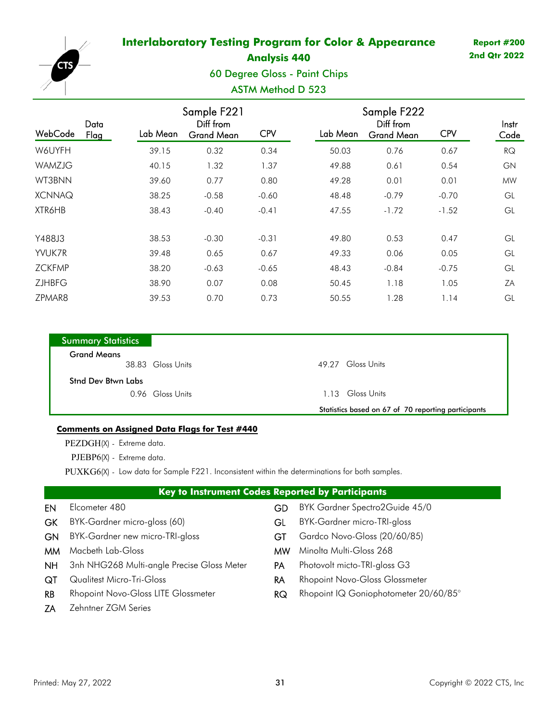

## **Analysis 440**

## 60 Degree Gloss - Paint Chips

## ASTM Method D 523

| WebCode       | Data<br>Flag | Lab Mean | Sample F221<br>Diff from<br><b>Grand Mean</b> | <b>CPV</b> | Lab Mean | Sample F222<br>Diff from<br><b>Grand Mean</b> | <b>CPV</b> | Instr<br>Code |
|---------------|--------------|----------|-----------------------------------------------|------------|----------|-----------------------------------------------|------------|---------------|
| W6UYFH        |              | 39.15    | 0.32                                          | 0.34       | 50.03    | 0.76                                          | 0.67       | RQ            |
| WAMZJG        |              | 40.15    | 1.32                                          | 1.37       | 49.88    | 0.61                                          | 0.54       | GN            |
| WT3BNN        |              | 39.60    | 0.77                                          | 0.80       | 49.28    | 0.01                                          | 0.01       | <b>MW</b>     |
| <b>XCNNAQ</b> |              | 38.25    | $-0.58$                                       | $-0.60$    | 48.48    | $-0.79$                                       | $-0.70$    | GL            |
| XTR6HB        |              | 38.43    | $-0.40$                                       | $-0.41$    | 47.55    | $-1.72$                                       | $-1.52$    | GL            |
| Y488J3        |              | 38.53    | $-0.30$                                       | $-0.31$    | 49.80    | 0.53                                          | 0.47       | GL            |
| YVUK7R        |              | 39.48    | 0.65                                          | 0.67       | 49.33    | 0.06                                          | 0.05       | GL            |
| <b>ZCKFMP</b> |              | 38.20    | $-0.63$                                       | $-0.65$    | 48.43    | $-0.84$                                       | $-0.75$    | GL            |
| <b>ZJHBFG</b> |              | 38.90    | 0.07                                          | 0.08       | 50.45    | 1.18                                          | 1.05       | ΖA            |
| ZPMAR8        |              | 39.53    | 0.70                                          | 0.73       | 50.55    | 1.28                                          | 1.14       | GL            |

| <b>Summary Statistics</b> |                   |                                                     |
|---------------------------|-------------------|-----------------------------------------------------|
| <b>Grand Means</b>        | 38.83 Gloss Units | 49.27                                               |
| <b>Stnd Dev Btwn Labs</b> |                   |                                                     |
|                           | 0.96 Gloss Units  | 113                                                 |
|                           |                   | Statistics based on 67 of 70 reporting participants |

### **Comments on Assigned Data Flags for Test # 440**

PEZDGH(X) - Extreme data.

PJEBP6(X) - Extreme data.

PUXKG6(X) - Low data for Sample F221. Inconsistent within the determinations for both samples.

| <b>Key to Instrument Codes Reported by Participants</b> |                                            |           |                                       |  |  |
|---------------------------------------------------------|--------------------------------------------|-----------|---------------------------------------|--|--|
| EN                                                      | Elcometer 480                              | GD        | BYK Gardner Spectro2Guide 45/0        |  |  |
| <b>GK</b>                                               | BYK-Gardner micro-gloss (60)<br>GL         |           | <b>BYK-Gardner micro-TRI-gloss</b>    |  |  |
| <b>GN</b>                                               | BYK-Gardner new micro-TRI-gloss            |           | Gardco Novo-Gloss (20/60/85)          |  |  |
| MM.                                                     | Macbeth Lab-Gloss                          | <b>MW</b> | Minolta Multi-Gloss 268               |  |  |
| NH.                                                     | 3nh NHG268 Multi-angle Precise Gloss Meter | <b>PA</b> | Photovolt micto-TRI-gloss G3          |  |  |
| QT                                                      | <b>Qualitest Micro-Tri-Gloss</b>           | RA        | <b>Rhopoint Novo-Gloss Glossmeter</b> |  |  |
| <b>RB</b>                                               | <b>Rhopoint Novo-Gloss LITE Glossmeter</b> | RQ        | Rhopoint IQ Goniophotometer 20/60/85° |  |  |
| ZΑ                                                      | Zehntner ZGM Series                        |           |                                       |  |  |
|                                                         |                                            |           |                                       |  |  |